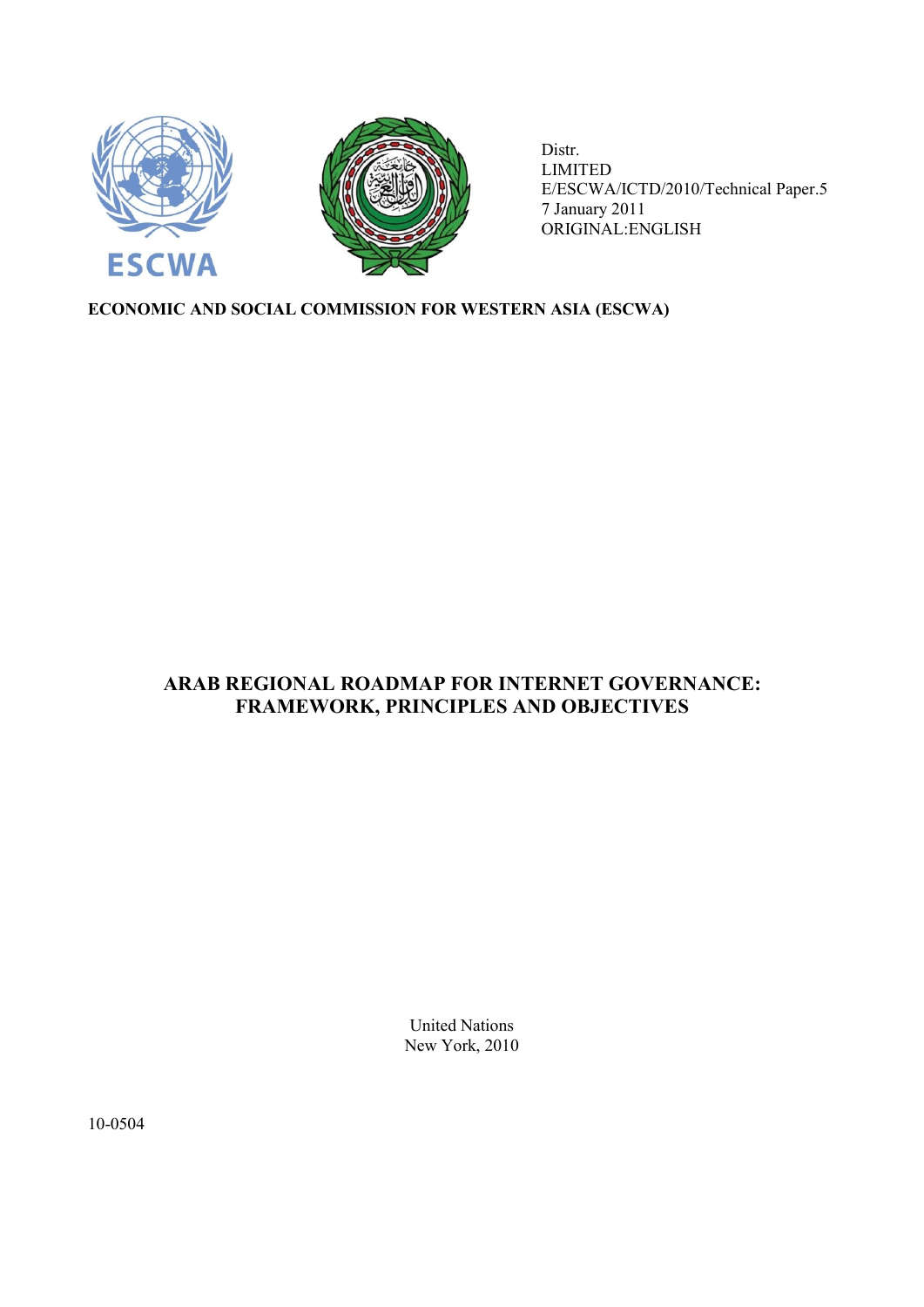

Distr. LIMITED E/ESCWA/ICTD/2010/Technical Paper.5 7 January 2011 ORIGINAL:ENGLISH

# **ECONOMIC AND SOCIAL COMMISSION FOR WESTERN ASIA (ESCWA)**

# **ARAB REGIONAL ROADMAP FOR INTERNET GOVERNANCE: FRAMEWORK, PRINCIPLES AND OBJECTIVES**

United Nations New York, 2010

10-0504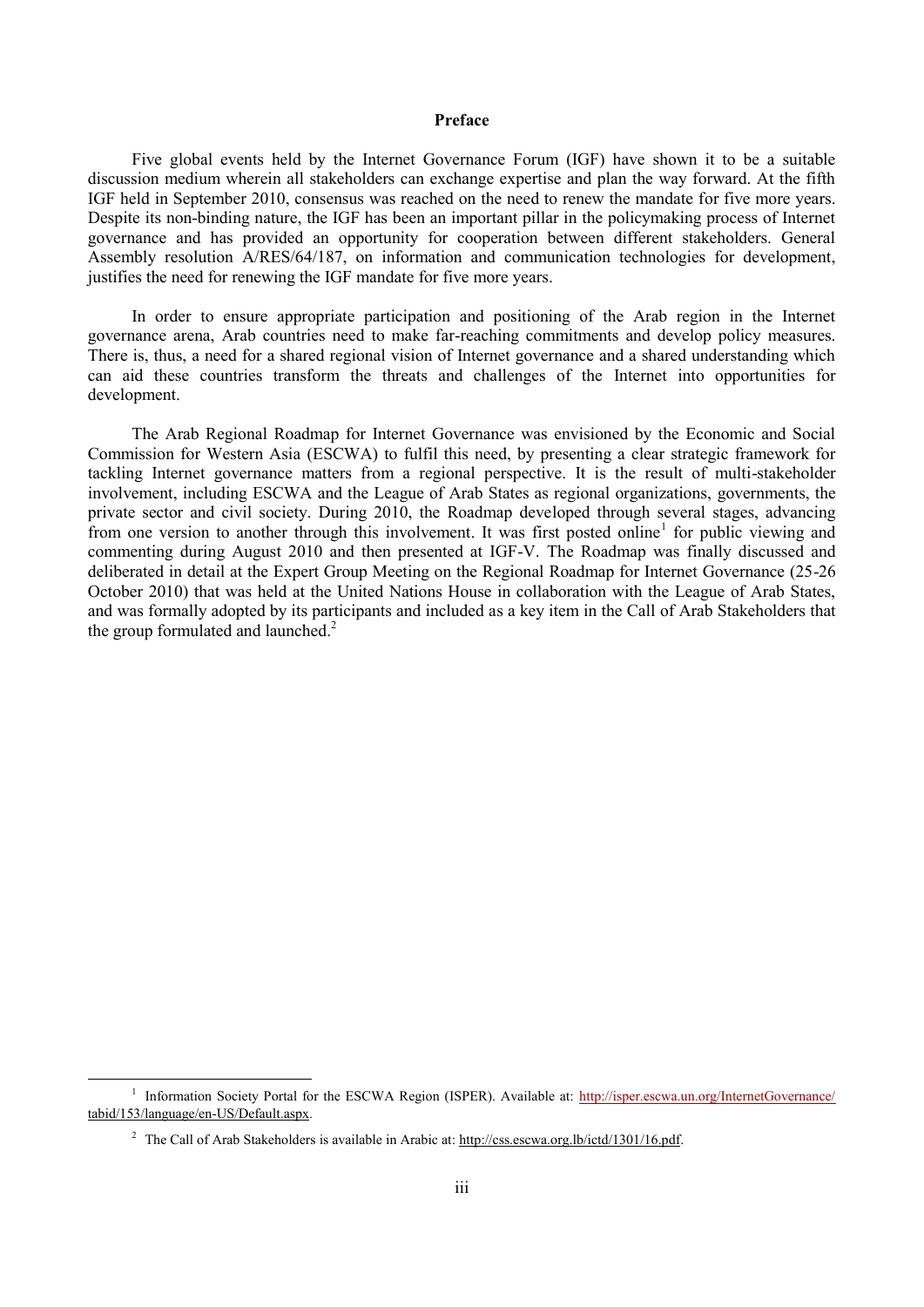# **Preface**

Five global events held by the Internet Governance Forum (IGF) have shown it to be a suitable discussion medium wherein all stakeholders can exchange expertise and plan the way forward. At the fifth IGF held in September 2010, consensus was reached on the need to renew the mandate for five more years. Despite its non-binding nature, the IGF has been an important pillar in the policymaking process of Internet governance and has provided an opportunity for cooperation between different stakeholders. General Assembly resolution A/RES/64/187, on information and communication technologies for development, justifies the need for renewing the IGF mandate for five more years.

In order to ensure appropriate participation and positioning of the Arab region in the Internet governance arena, Arab countries need to make far-reaching commitments and develop policy measures. There is, thus, a need for a shared regional vision of Internet governance and a shared understanding which can aid these countries transform the threats and challenges of the Internet into opportunities for development.

The Arab Regional Roadmap for Internet Governance was envisioned by the Economic and Social Commission for Western Asia (ESCWA) to fulfil this need, by presenting a clear strategic framework for tackling Internet governance matters from a regional perspective. It is the result of multi-stakeholder involvement, including ESCWA and the League of Arab States as regional organizations, governments, the private sector and civil society. During 2010, the Roadmap developed through several stages, advancing from one version to another through this involvement. It was first posted online<sup>1</sup> for public viewing and commenting during August 2010 and then presented at IGF-V. The Roadmap was finally discussed and deliberated in detail at the Expert Group Meeting on the Regional Roadmap for Internet Governance (25-26 October 2010) that was held at the United Nations House in collaboration with the League of Arab States, and was formally adopted by its participants and included as a key item in the Call of Arab Stakeholders that the group formulated and launched.<sup>2</sup>

1

<sup>&</sup>lt;sup>1</sup> Information Society Portal for the ESCWA Region (ISPER). Available at:<http://isper.escwa.un.org/InternetGovernance/> tabid/153/language/en-US/Default.aspx.

<sup>&</sup>lt;sup>2</sup> The Call of Arab Stakeholders is available in Arabic at: http://css.escwa.org.lb/ictd/1301/16.pdf.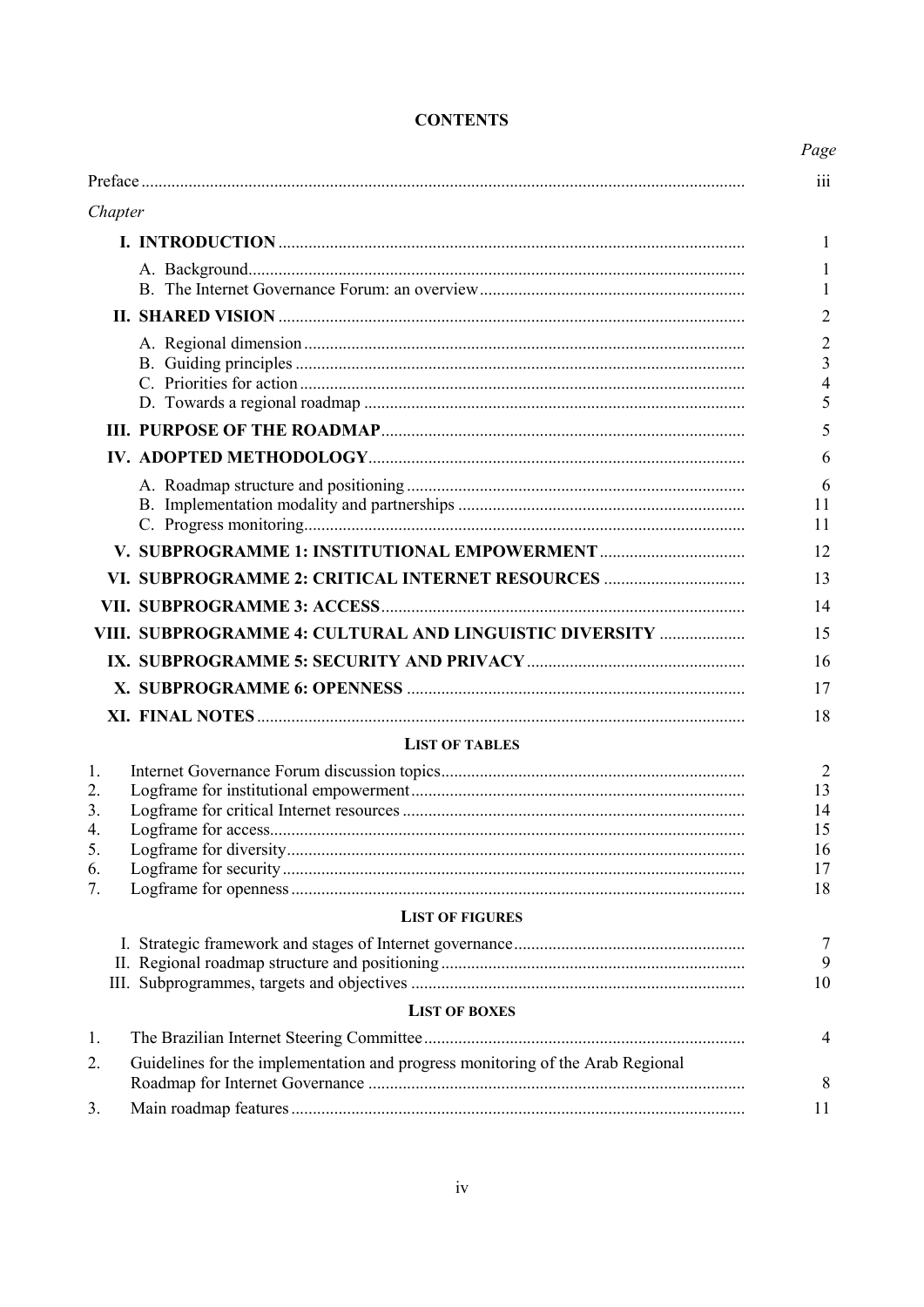|                                                                                      | Page |
|--------------------------------------------------------------------------------------|------|
|                                                                                      |      |
| Chapter                                                                              |      |
|                                                                                      |      |
|                                                                                      |      |
|                                                                                      |      |
|                                                                                      |      |
|                                                                                      |      |
|                                                                                      |      |
|                                                                                      |      |
|                                                                                      |      |
| VI. SUBPROGRAMME 2: CRITICAL INTERNET RESOURCES                                      |      |
|                                                                                      |      |
| VIII. SUBPROGRAMME 4: CULTURAL AND LINGUISTIC DIVERSITY                              |      |
|                                                                                      |      |
|                                                                                      |      |
|                                                                                      |      |
| <b>LIST OF TABLES</b>                                                                |      |
| 1.                                                                                   |      |
| 2.<br>3.<br>4.<br>5.<br>6.                                                           |      |
| 7.                                                                                   |      |
| <b>LIST OF FIGURES</b>                                                               |      |
|                                                                                      |      |
| <b>LIST OF BOXES</b>                                                                 |      |
| 1.                                                                                   |      |
| Guidelines for the implementation and progress monitoring of the Arab Regional<br>2. |      |
| 3.                                                                                   |      |

# **CONTENTS**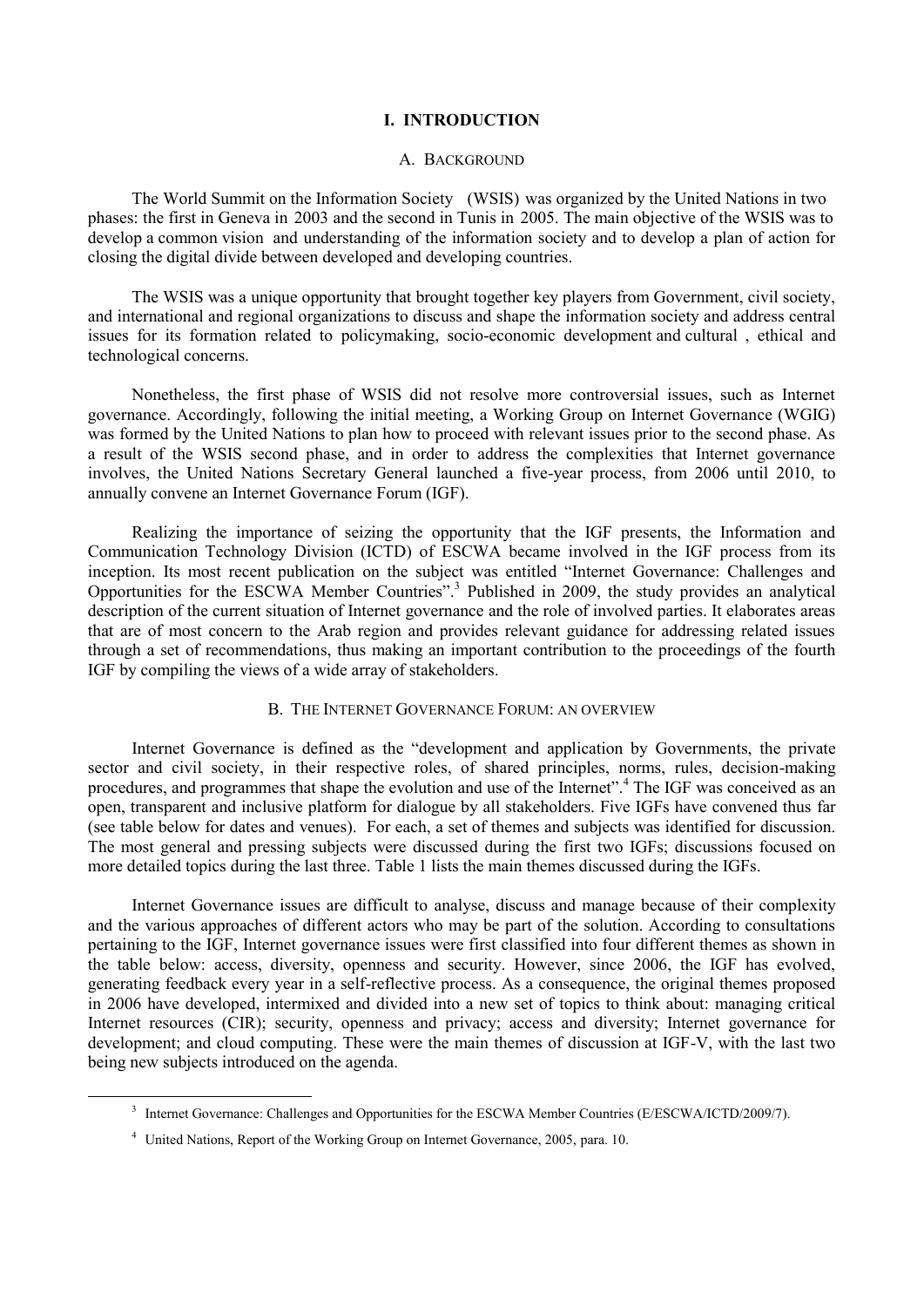# **I. INTRODUCTION**

### A. BACKGROUND

The World Summit on the Information Society (WSIS) was organized by the United Nations in two phases: the first in Geneva in 2003 and the second in Tunis in 2005. The main objective of the WSIS was to develop a common vision and understanding of the information society and to develop a plan of action for closing the digital divide between developed and developing countries.

The WSIS was a unique opportunity that brought together key players from Government, civil society, and international and regional organizations to discuss and shape the information society and address central issues for its formation related to policymaking, socio-economic development and cultural , ethical and technological concerns.

Nonetheless, the first phase of WSIS did not resolve more controversial issues, such as Internet governance. Accordingly, following the initial meeting, a Working Group on Internet Governance (WGIG) was formed by the United Nations to plan how to proceed with relevant issues prior to the second phase. As a result of the WSIS second phase, and in order to address the complexities that Internet governance involves, the United Nations Secretary General launched a five-year process, from 2006 until 2010, to annually convene an Internet Governance Forum (IGF).

Realizing the importance of seizing the opportunity that the IGF presents, the Information and Communication Technology Division (ICTD) of ESCWA became involved in the IGF process from its inception. Its most recent publication on the subject was entitled "Internet Governance: Challenges and Opportunities for the ESCWA Member Countries".<sup>3</sup> Published in 2009, the study provides an analytical description of the current situation of Internet governance and the role of involved parties. It elaborates areas that are of most concern to the Arab region and provides relevant guidance for addressing related issues through a set of recommendations, thus making an important contribution to the proceedings of the fourth IGF by compiling the views of a wide array of stakeholders.

### B. THE INTERNET GOVERNANCE FORUM: AN OVERVIEW

Internet Governance is defined as the "development and application by Governments, the private sector and civil society, in their respective roles, of shared principles, norms, rules, decision-making procedures, and programmes that shape the evolution and use of the Internet".<sup>4</sup> The IGF was conceived as an open, transparent and inclusive platform for dialogue by all stakeholders. Five IGFs have convened thus far (see table below for dates and venues). For each, a set of themes and subjects was identified for discussion. The most general and pressing subjects were discussed during the first two IGFs; discussions focused on more detailed topics during the last three. [Table 1](#page-4-0) lists the main themes discussed during the IGFs.

Internet Governance issues are difficult to analyse, discuss and manage because of their complexity and the various approaches of different actors who may be part of the solution. According to consultations pertaining to the IGF, Internet governance issues were first classified into four different themes as shown in the table below: access, diversity, openness and security. However, since 2006, the IGF has evolved, generating feedback every year in a self-reflective process. As a consequence, the original themes proposed in 2006 have developed, intermixed and divided into a new set of topics to think about: managing critical Internet resources (CIR); security, openness and privacy; access and diversity; Internet governance for development; and cloud computing. These were the main themes of discussion at IGF-V, with the last two being new subjects introduced on the agenda.

<sup>&</sup>lt;sup>3</sup> Internet Governance: Challenges and Opportunities for the ESCWA Member Countries (E/ESCWA/ICTD/2009/7).

<sup>4</sup> United Nations, Report of the Working Group on Internet Governance, 2005, para. 10.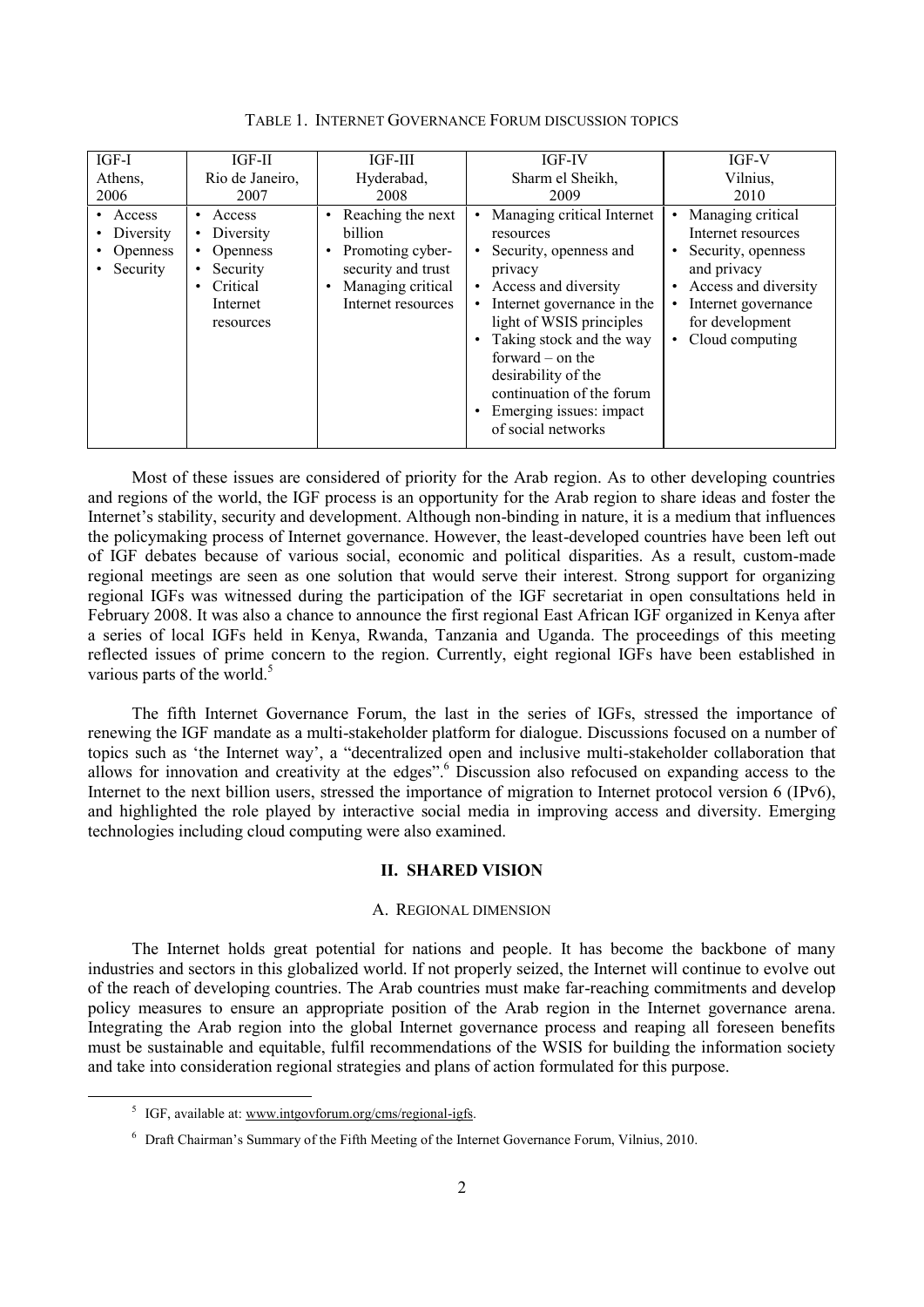<span id="page-4-0"></span>

| IGF-I                                                | IGF-II                                                                                                                              | IGF-III                                                                                                                                     | <b>IGF-IV</b>                                                                                                                                                                                                                             | IGF-V                                                                                                                                                                                                                              |
|------------------------------------------------------|-------------------------------------------------------------------------------------------------------------------------------------|---------------------------------------------------------------------------------------------------------------------------------------------|-------------------------------------------------------------------------------------------------------------------------------------------------------------------------------------------------------------------------------------------|------------------------------------------------------------------------------------------------------------------------------------------------------------------------------------------------------------------------------------|
| Athens,                                              | Rio de Janeiro,                                                                                                                     | Hyderabad,                                                                                                                                  | Sharm el Sheikh,                                                                                                                                                                                                                          | Vilnius,                                                                                                                                                                                                                           |
| 2006                                                 | 2007                                                                                                                                | 2008                                                                                                                                        | 2009                                                                                                                                                                                                                                      | 2010                                                                                                                                                                                                                               |
| • Access<br>Diversity<br><b>Openness</b><br>Security | Access<br>$\bullet$<br>Diversity<br>٠<br><b>Openness</b><br>$\bullet$<br>Security<br>$\bullet$<br>Critical<br>Internet<br>resources | Reaching the next<br>billion<br>Promoting cyber-<br>$\bullet$<br>security and trust<br>Managing critical<br>$\bullet$<br>Internet resources | Managing critical Internet<br>resources<br>Security, openness and<br>privacy<br>• Access and diversity<br>Internet governance in the<br>light of WSIS principles<br>Taking stock and the way<br>forward $-$ on the<br>desirability of the | Managing critical<br>$\bullet$<br>Internet resources<br>Security, openness<br>$\bullet$<br>and privacy<br>Access and diversity<br>$\bullet$<br>Internet governance<br>$\bullet$<br>for development<br>Cloud computing<br>$\bullet$ |
|                                                      |                                                                                                                                     |                                                                                                                                             | continuation of the forum<br>Emerging issues: impact                                                                                                                                                                                      |                                                                                                                                                                                                                                    |
|                                                      |                                                                                                                                     |                                                                                                                                             | of social networks                                                                                                                                                                                                                        |                                                                                                                                                                                                                                    |

TABLE 1. INTERNET GOVERNANCE FORUM DISCUSSION TOPICS

Most of these issues are considered of priority for the Arab region. As to other developing countries and regions of the world, the IGF process is an opportunity for the Arab region to share ideas and foster the Internet's stability, security and development. Although non-binding in nature, it is a medium that influences the policymaking process of Internet governance. However, the least-developed countries have been left out of IGF debates because of various social, economic and political disparities. As a result, custom-made regional meetings are seen as one solution that would serve their interest. Strong support for organizing regional IGFs was witnessed during the participation of the IGF secretariat in open consultations held in February 2008. It was also a chance to announce the first regional East African IGF organized in Kenya after a series of local IGFs held in Kenya, Rwanda, Tanzania and Uganda. The proceedings of this meeting reflected issues of prime concern to the region. Currently, eight regional IGFs have been established in various parts of the world. $5$ 

The fifth Internet Governance Forum, the last in the series of IGFs, stressed the importance of renewing the IGF mandate as a multi-stakeholder platform for dialogue. Discussions focused on a number of topics such as 'the Internet way', a "decentralized open and inclusive multi-stakeholder collaboration that allows for innovation and creativity at the edges".<sup>6</sup> Discussion also refocused on expanding access to the Internet to the next billion users, stressed the importance of migration to Internet protocol version 6 (IPv6), and highlighted the role played by interactive social media in improving access and diversity. Emerging technologies including cloud computing were also examined.

### **II. SHARED VISION**

### A. REGIONAL DIMENSION

The Internet holds great potential for nations and people. It has become the backbone of many industries and sectors in this globalized world. If not properly seized, the Internet will continue to evolve out of the reach of developing countries. The Arab countries must make far-reaching commitments and develop policy measures to ensure an appropriate position of the Arab region in the Internet governance arena. Integrating the Arab region into the global Internet governance process and reaping all foreseen benefits must be sustainable and equitable, fulfil recommendations of the WSIS for building the information society and take into consideration regional strategies and plans of action formulated for this purpose.

<sup>&</sup>lt;sup>5</sup> IGF, available at: www.intgovforum.org/cms/regional-igfs.

 $6$  Draft Chairman's Summary of the Fifth Meeting of the Internet Governance Forum, Vilnius, 2010.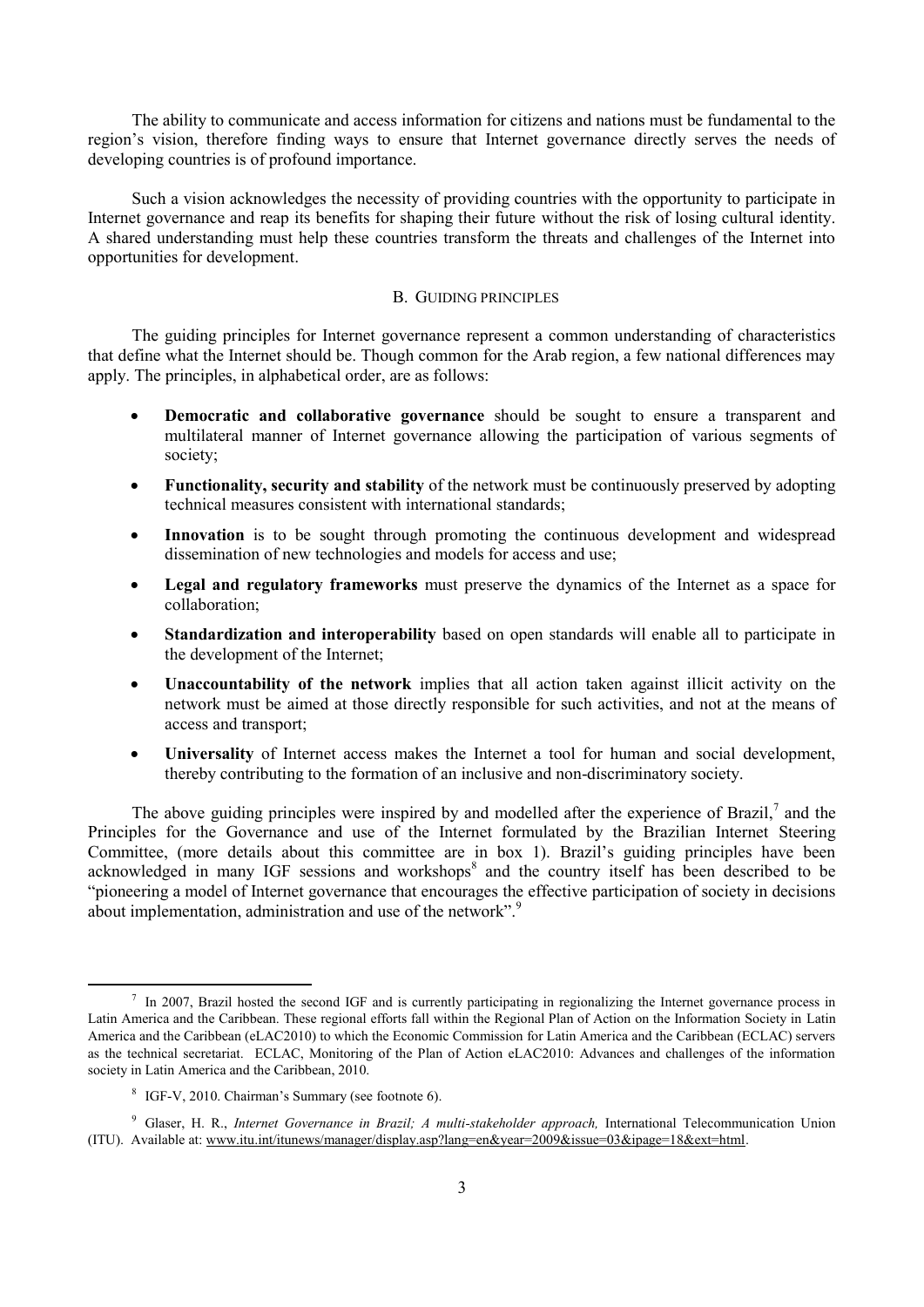The ability to communicate and access information for citizens and nations must be fundamental to the region"s vision, therefore finding ways to ensure that Internet governance directly serves the needs of developing countries is of profound importance.

Such a vision acknowledges the necessity of providing countries with the opportunity to participate in Internet governance and reap its benefits for shaping their future without the risk of losing cultural identity. A shared understanding must help these countries transform the threats and challenges of the Internet into opportunities for development.

# B. GUIDING PRINCIPLES

The guiding principles for Internet governance represent a common understanding of characteristics that define what the Internet should be. Though common for the Arab region, a few national differences may apply. The principles, in alphabetical order, are as follows:

- **Democratic and collaborative governance** should be sought to ensure a transparent and multilateral manner of Internet governance allowing the participation of various segments of society;
- **Functionality, security and stability** of the network must be continuously preserved by adopting technical measures consistent with international standards;
- Innovation is to be sought through promoting the continuous development and widespread dissemination of new technologies and models for access and use;
- **Legal and regulatory frameworks** must preserve the dynamics of the Internet as a space for collaboration;
- **Standardization and interoperability** based on open standards will enable all to participate in the development of the Internet;
- **Unaccountability of the network** implies that all action taken against illicit activity on the network must be aimed at those directly responsible for such activities, and not at the means of access and transport;
- **Universality** of Internet access makes the Internet a tool for human and social development, thereby contributing to the formation of an inclusive and non-discriminatory society.

The above guiding principles were inspired by and modelled after the experience of Brazil, $^7$  and the Principles for the Governance and use of the Internet formulated by the Brazilian Internet Steering Committee, (more details about this committee are in box 1). Brazil"s guiding principles have been acknowledged in many IGF sessions and workshops<sup>8</sup> and the country itself has been described to be "pioneering a model of Internet governance that encourages the effective participation of society in decisions about implementation, administration and use of the network".<sup>9</sup>

<sup>&</sup>lt;sup>7</sup> In 2007, Brazil hosted the second IGF and is currently participating in regionalizing the Internet governance process in Latin America and the Caribbean. These regional efforts fall within the Regional Plan of Action on the Information Society in Latin America and the Caribbean (eLAC2010) to which the Economic Commission for Latin America and the Caribbean (ECLAC) servers as the technical secretariat. ECLAC, Monitoring of the Plan of Action eLAC2010: Advances and challenges of the information society in Latin America and the Caribbean, 2010.

<sup>&</sup>lt;sup>8</sup> IGF-V, 2010. Chairman's Summary (see footnote 6).

<sup>9</sup> Glaser, H. R., *Internet Governance in Brazil; A multi-stakeholder approach,* International Telecommunication Union (ITU). Available at: www.itu.int/itunews/manager/display.asp?lang=en&year=2009&issue=03&ipage=18&ext=html.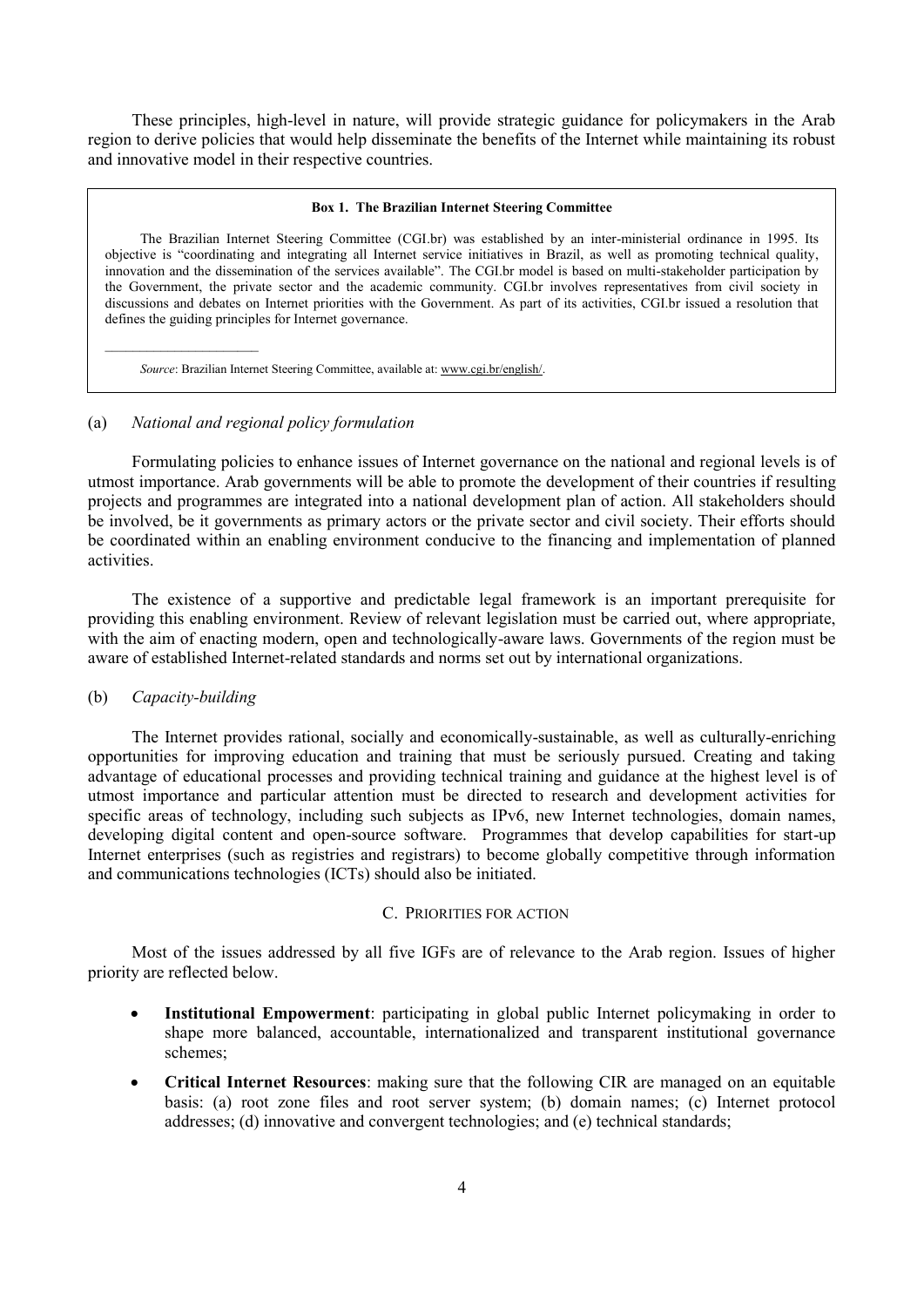These principles, high-level in nature, will provide strategic guidance for policymakers in the Arab region to derive policies that would help disseminate the benefits of the Internet while maintaining its robust and innovative model in their respective countries.

#### **Box 1. The Brazilian Internet Steering Committee**

The Brazilian Internet Steering Committee (CGI.br) was established by an inter-ministerial ordinance in 1995. Its objective is "coordinating and integrating all Internet service initiatives in Brazil, as well as promoting technical quality, innovation and the dissemination of the services available". The CGI.br model is based on multi-stakeholder participation by the Government, the private sector and the academic community. CGI.br involves representatives from civil society in discussions and debates on Internet priorities with the Government. As part of its activities, CGI.br issued a resolution that defines the guiding principles for Internet governance.

*Source*: Brazilian Internet Steering Committee, available at: [www.cgi.br/english/.](http://www.cgi.br/english/)

### (a) *National and regional policy formulation*

Formulating policies to enhance issues of Internet governance on the national and regional levels is of utmost importance. Arab governments will be able to promote the development of their countries if resulting projects and programmes are integrated into a national development plan of action. All stakeholders should be involved, be it governments as primary actors or the private sector and civil society. Their efforts should be coordinated within an enabling environment conducive to the financing and implementation of planned activities.

The existence of a supportive and predictable legal framework is an important prerequisite for providing this enabling environment. Review of relevant legislation must be carried out, where appropriate, with the aim of enacting modern, open and technologically-aware laws. Governments of the region must be aware of established Internet-related standards and norms set out by international organizations.

### (b) *Capacity-building*

 $\_$ 

The Internet provides rational, socially and economically-sustainable, as well as culturally-enriching opportunities for improving education and training that must be seriously pursued. Creating and taking advantage of educational processes and providing technical training and guidance at the highest level is of utmost importance and particular attention must be directed to research and development activities for specific areas of technology, including such subjects as IPv6, new Internet technologies, domain names, developing digital content and open-source software. Programmes that develop capabilities for start-up Internet enterprises (such as registries and registrars) to become globally competitive through information and communications technologies (ICTs) should also be initiated.

# C. PRIORITIES FOR ACTION

Most of the issues addressed by all five IGFs are of relevance to the Arab region. Issues of higher priority are reflected below.

- **Institutional Empowerment**: participating in global public Internet policymaking in order to shape more balanced, accountable, internationalized and transparent institutional governance schemes;
- **Critical Internet Resources**: making sure that the following CIR are managed on an equitable basis: (a) root zone files and root server system; (b) domain names; (c) Internet protocol addresses; (d) innovative and convergent technologies; and (e) technical standards;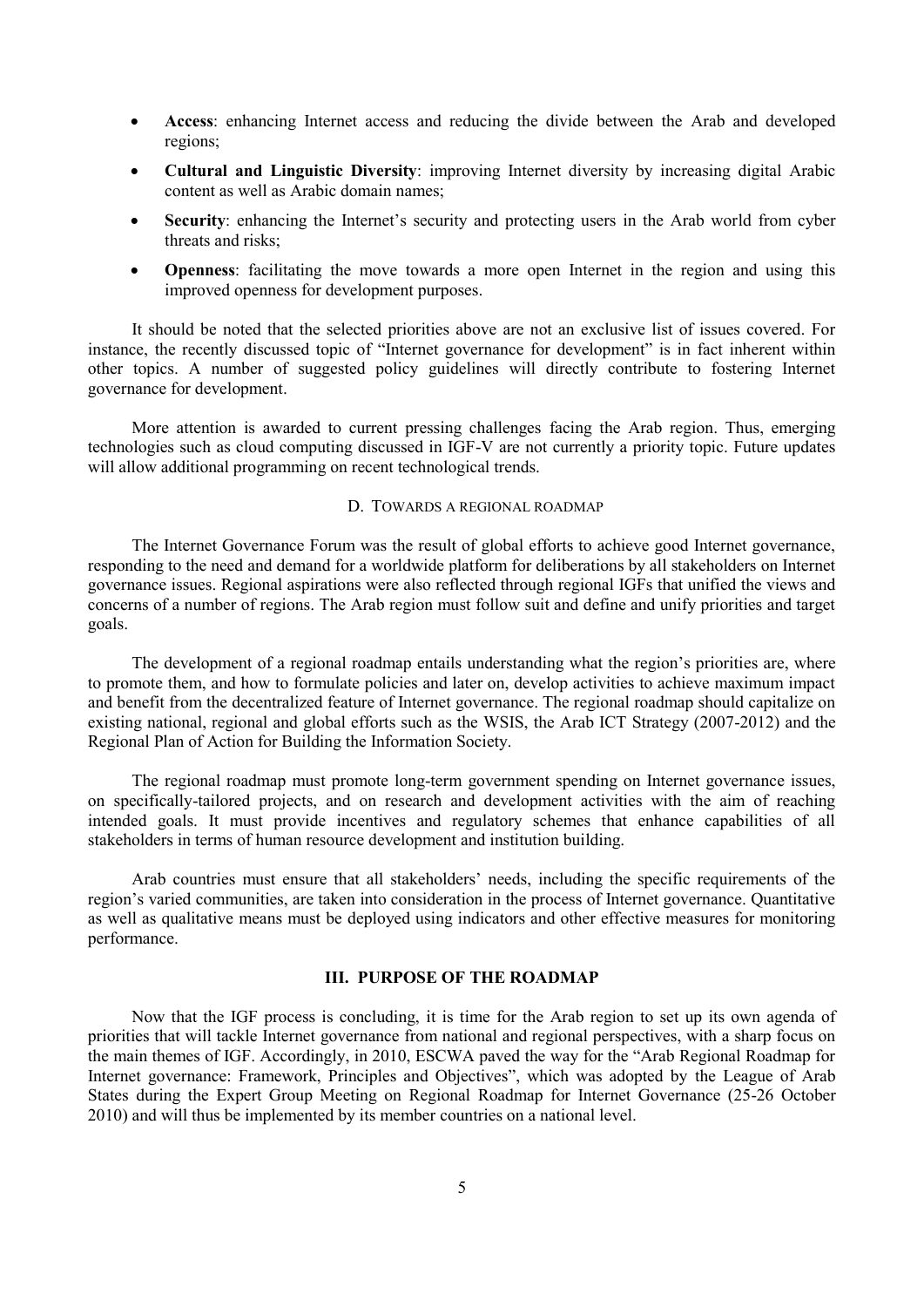- **Access**: enhancing Internet access and reducing the divide between the Arab and developed regions;
- **Cultural and Linguistic Diversity**: improving Internet diversity by increasing digital Arabic content as well as Arabic domain names;
- **Security**: enhancing the Internet's security and protecting users in the Arab world from cyber threats and risks;
- **Openness**: facilitating the move towards a more open Internet in the region and using this improved openness for development purposes.

It should be noted that the selected priorities above are not an exclusive list of issues covered. For instance, the recently discussed topic of "Internet governance for development" is in fact inherent within other topics. A number of suggested policy guidelines will directly contribute to fostering Internet governance for development.

More attention is awarded to current pressing challenges facing the Arab region. Thus, emerging technologies such as cloud computing discussed in IGF-V are not currently a priority topic. Future updates will allow additional programming on recent technological trends.

# D. TOWARDS A REGIONAL ROADMAP

The Internet Governance Forum was the result of global efforts to achieve good Internet governance, responding to the need and demand for a worldwide platform for deliberations by all stakeholders on Internet governance issues. Regional aspirations were also reflected through regional IGFs that unified the views and concerns of a number of regions. The Arab region must follow suit and define and unify priorities and target goals.

The development of a regional roadmap entails understanding what the region's priorities are, where to promote them, and how to formulate policies and later on, develop activities to achieve maximum impact and benefit from the decentralized feature of Internet governance. The regional roadmap should capitalize on existing national, regional and global efforts such as the WSIS, the Arab ICT Strategy (2007-2012) and the Regional Plan of Action for Building the Information Society.

The regional roadmap must promote long-term government spending on Internet governance issues, on specifically-tailored projects, and on research and development activities with the aim of reaching intended goals. It must provide incentives and regulatory schemes that enhance capabilities of all stakeholders in terms of human resource development and institution building.

Arab countries must ensure that all stakeholders" needs, including the specific requirements of the region's varied communities, are taken into consideration in the process of Internet governance. Quantitative as well as qualitative means must be deployed using indicators and other effective measures for monitoring performance.

# **III. PURPOSE OF THE ROADMAP**

Now that the IGF process is concluding, it is time for the Arab region to set up its own agenda of priorities that will tackle Internet governance from national and regional perspectives, with a sharp focus on the main themes of IGF. Accordingly, in 2010, ESCWA paved the way for the "Arab Regional Roadmap for Internet governance: Framework, Principles and Objectives", which was adopted by the League of Arab States during the Expert Group Meeting on Regional Roadmap for Internet Governance (25-26 October 2010) and will thus be implemented by its member countries on a national level.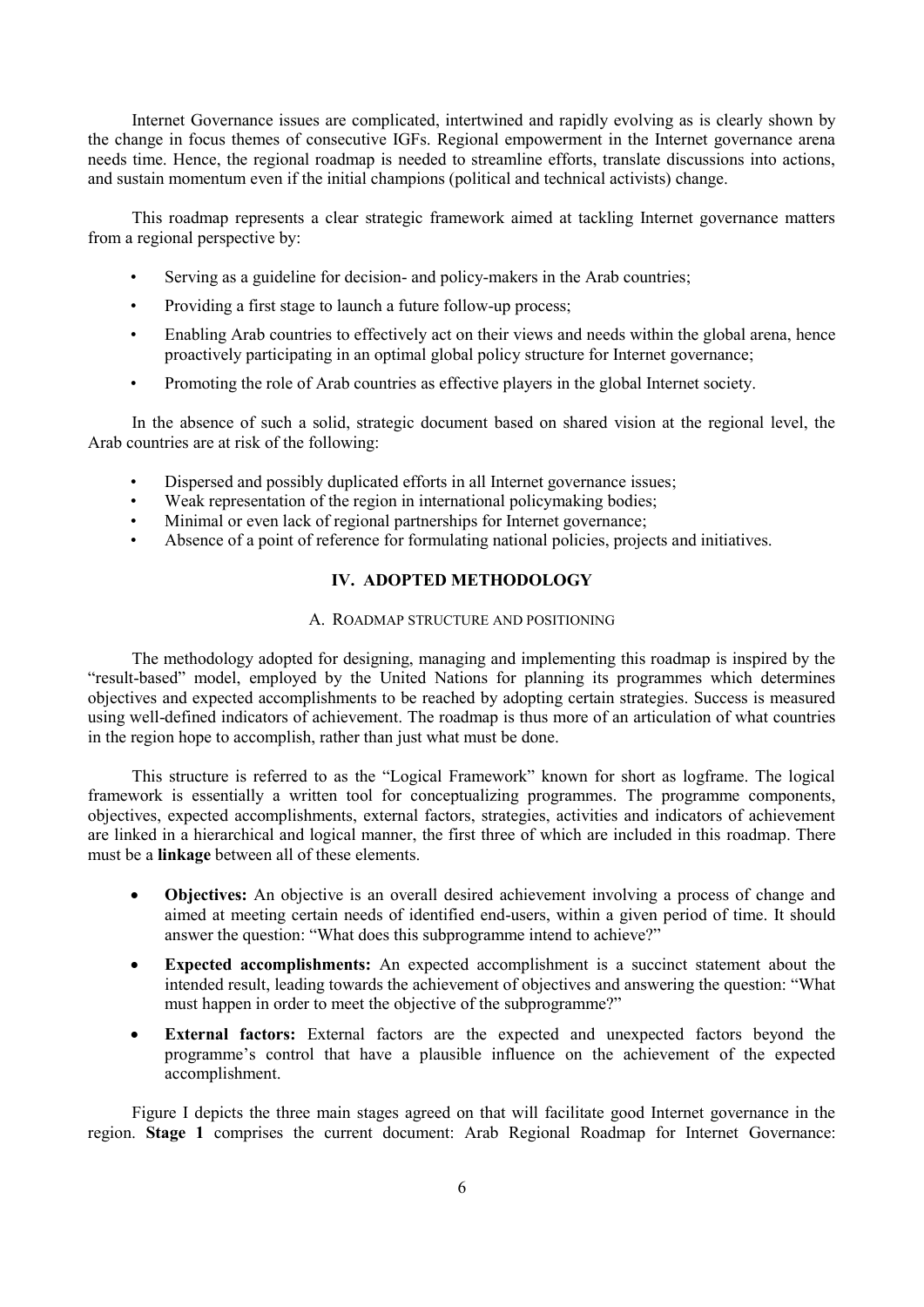Internet Governance issues are complicated, intertwined and rapidly evolving as is clearly shown by the change in focus themes of consecutive IGFs. Regional empowerment in the Internet governance arena needs time. Hence, the regional roadmap is needed to streamline efforts, translate discussions into actions, and sustain momentum even if the initial champions (political and technical activists) change.

This roadmap represents a clear strategic framework aimed at tackling Internet governance matters from a regional perspective by:

- Serving as a guideline for decision- and policy-makers in the Arab countries;
- Providing a first stage to launch a future follow-up process;
- Enabling Arab countries to effectively act on their views and needs within the global arena, hence proactively participating in an optimal global policy structure for Internet governance;
- Promoting the role of Arab countries as effective players in the global Internet society.

In the absence of such a solid, strategic document based on shared vision at the regional level, the Arab countries are at risk of the following:

- Dispersed and possibly duplicated efforts in all Internet governance issues;
- Weak representation of the region in international policymaking bodies;
- Minimal or even lack of regional partnerships for Internet governance;
- Absence of a point of reference for formulating national policies, projects and initiatives.

# **IV. ADOPTED METHODOLOGY**

# A. ROADMAP STRUCTURE AND POSITIONING

The methodology adopted for designing, managing and implementing this roadmap is inspired by the "result-based" model, employed by the United Nations for planning its programmes which determines objectives and expected accomplishments to be reached by adopting certain strategies. Success is measured using well-defined indicators of achievement. The roadmap is thus more of an articulation of what countries in the region hope to accomplish, rather than just what must be done.

This structure is referred to as the "Logical Framework" known for short as logframe. The logical framework is essentially a written tool for conceptualizing programmes. The programme components, objectives, expected accomplishments, external factors, strategies, activities and indicators of achievement are linked in a hierarchical and logical manner, the first three of which are included in this roadmap. There must be a **linkage** between all of these elements.

- **Objectives:** An objective is an overall desired achievement involving a process of change and aimed at meeting certain needs of identified end-users, within a given period of time. It should answer the question: "What does this subprogramme intend to achieve?"
- **Expected accomplishments:** An expected accomplishment is a succinct statement about the intended result, leading towards the achievement of objectives and answering the question: "What must happen in order to meet the objective of the subprogramme?"
- **External factors:** External factors are the expected and unexpected factors beyond the programme"s control that have a plausible influence on the achievement of the expected accomplishment.

[Figure I](#page-9-0) depicts the three main stages agreed on that will facilitate good Internet governance in the region. **Stage 1** comprises the current document: Arab Regional Roadmap for Internet Governance: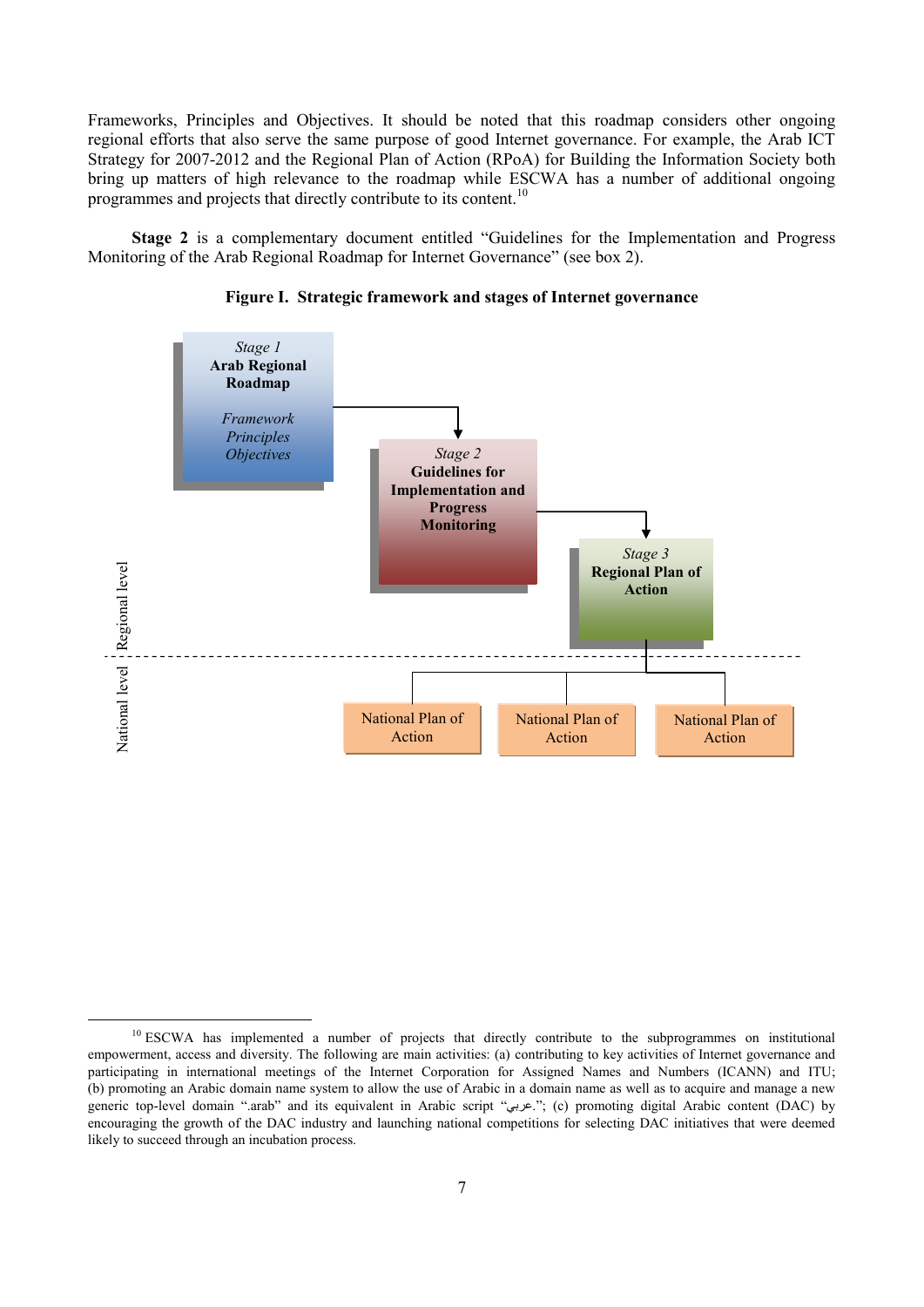Frameworks, Principles and Objectives. It should be noted that this roadmap considers other ongoing regional efforts that also serve the same purpose of good Internet governance. For example, the Arab ICT Strategy for 2007-2012 and the Regional Plan of Action (RPoA) for Building the Information Society both bring up matters of high relevance to the roadmap while ESCWA has a number of additional ongoing programmes and projects that directly contribute to its content.<sup>10</sup>

**Stage 2** is a complementary document entitled "Guidelines for the Implementation and Progress Monitoring of the Arab Regional Roadmap for Internet Governance" (see box 2).

<span id="page-9-0"></span>

**Figure I. Strategic framework and stages of Internet governance**

<sup>&</sup>lt;sup>10</sup> ESCWA has implemented a number of projects that directly contribute to the subprogrammes on institutional empowerment, access and diversity. The following are main activities: (a) contributing to key activities of Internet governance and participating in international meetings of the Internet Corporation for Assigned Names and Numbers (ICANN) and ITU; (b) promoting an Arabic domain name system to allow the use of Arabic in a domain name as well as to acquire and manage a new generic top-level domain ".arab" and its equivalent in Arabic script "عربي"; (c) promoting digital Arabic content (DAC) by encouraging the growth of the DAC industry and launching national competitions for selecting DAC initiatives that were deemed likely to succeed through an incubation process.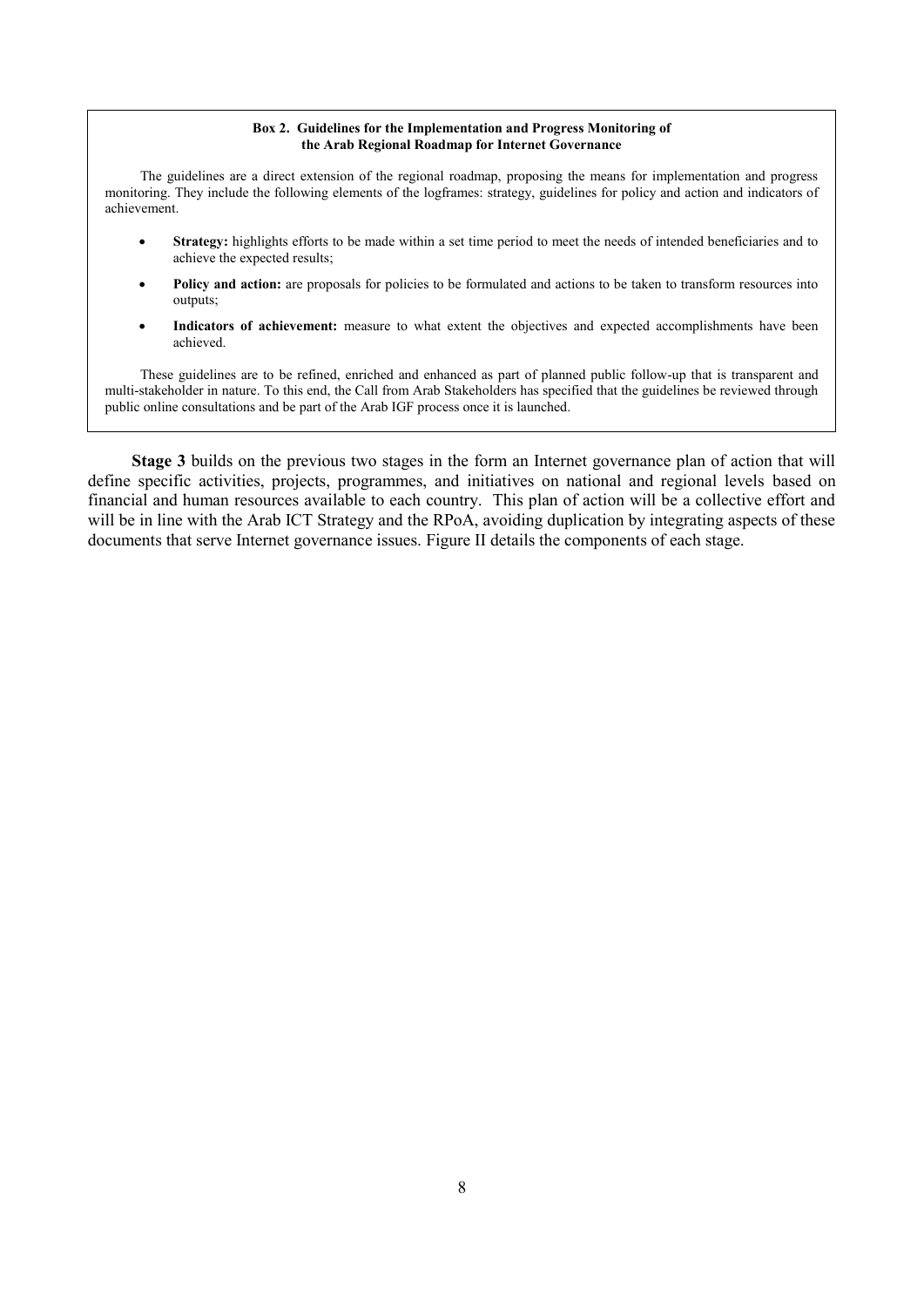#### **Box 2. Guidelines for the Implementation and Progress Monitoring of the Arab Regional Roadmap for Internet Governance**

The guidelines are a direct extension of the regional roadmap, proposing the means for implementation and progress monitoring. They include the following elements of the logframes: strategy, guidelines for policy and action and indicators of achievement.

- **Strategy:** highlights efforts to be made within a set time period to meet the needs of intended beneficiaries and to achieve the expected results;
- **Policy and action:** are proposals for policies to be formulated and actions to be taken to transform resources into outputs;
- Indicators of achievement: measure to what extent the objectives and expected accomplishments have been achieved.

These guidelines are to be refined, enriched and enhanced as part of planned public follow-up that is transparent and multi-stakeholder in nature. To this end, the Call from Arab Stakeholders has specified that the guidelines be reviewed through public online consultations and be part of the Arab IGF process once it is launched.

**Stage 3** builds on the previous two stages in the form an Internet governance plan of action that will define specific activities, projects, programmes, and initiatives on national and regional levels based on financial and human resources available to each country. This plan of action will be a collective effort and will be in line with the Arab ICT Strategy and the RPoA, avoiding duplication by integrating aspects of these documents that serve Internet governance issues. Figure II details the components of each stage.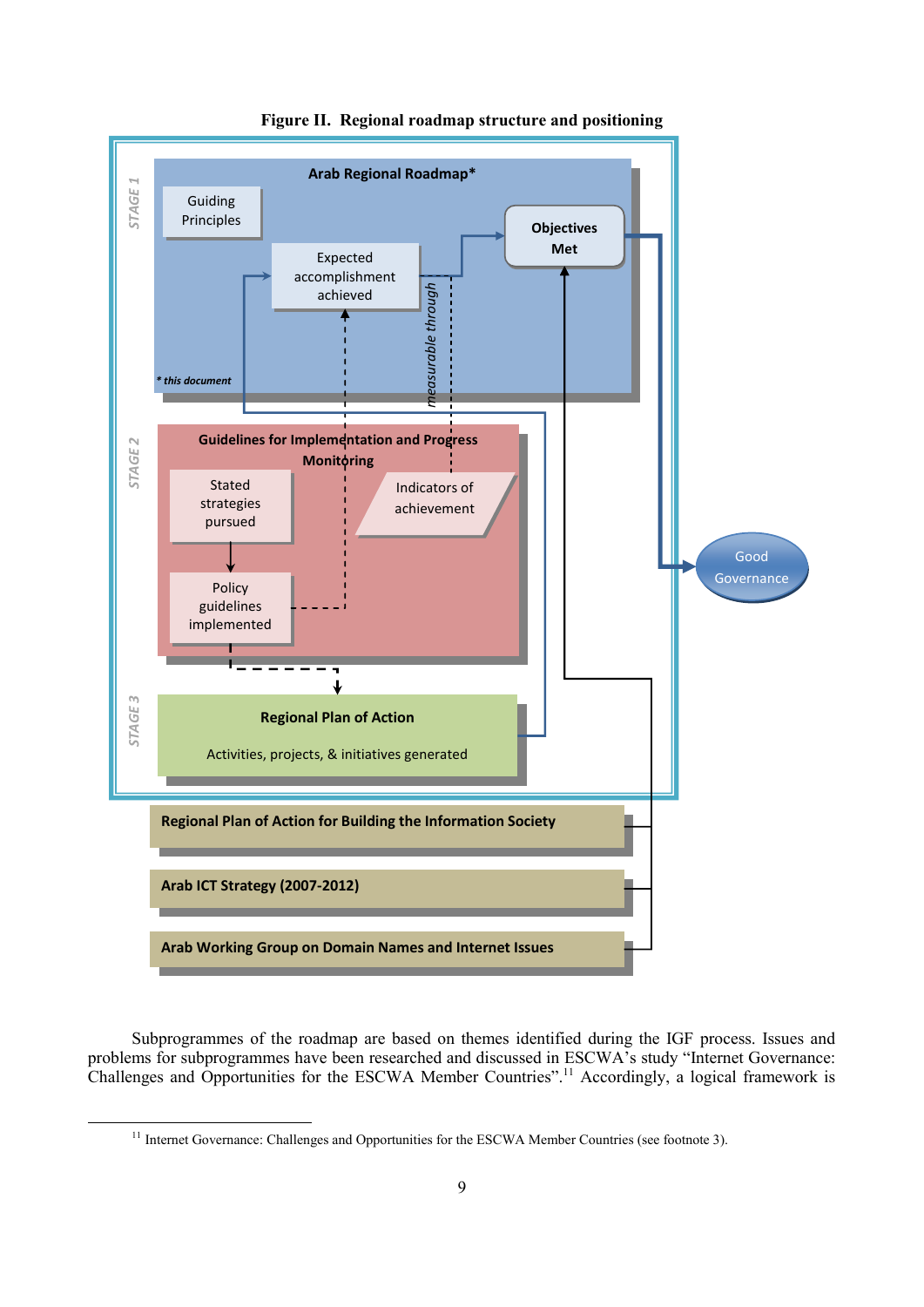

**Figure II. Regional roadmap structure and positioning**

Subprogrammes of the roadmap are based on themes identified during the IGF process. Issues and problems for subprogrammes have been researched and discussed in ESCWA's study "Internet Governance: Challenges and Opportunities for the ESCWA Member Countries".<sup>11</sup> Accordingly, a logical framework is

<sup>&</sup>lt;sup>11</sup> Internet Governance: Challenges and Opportunities for the ESCWA Member Countries (see footnote 3).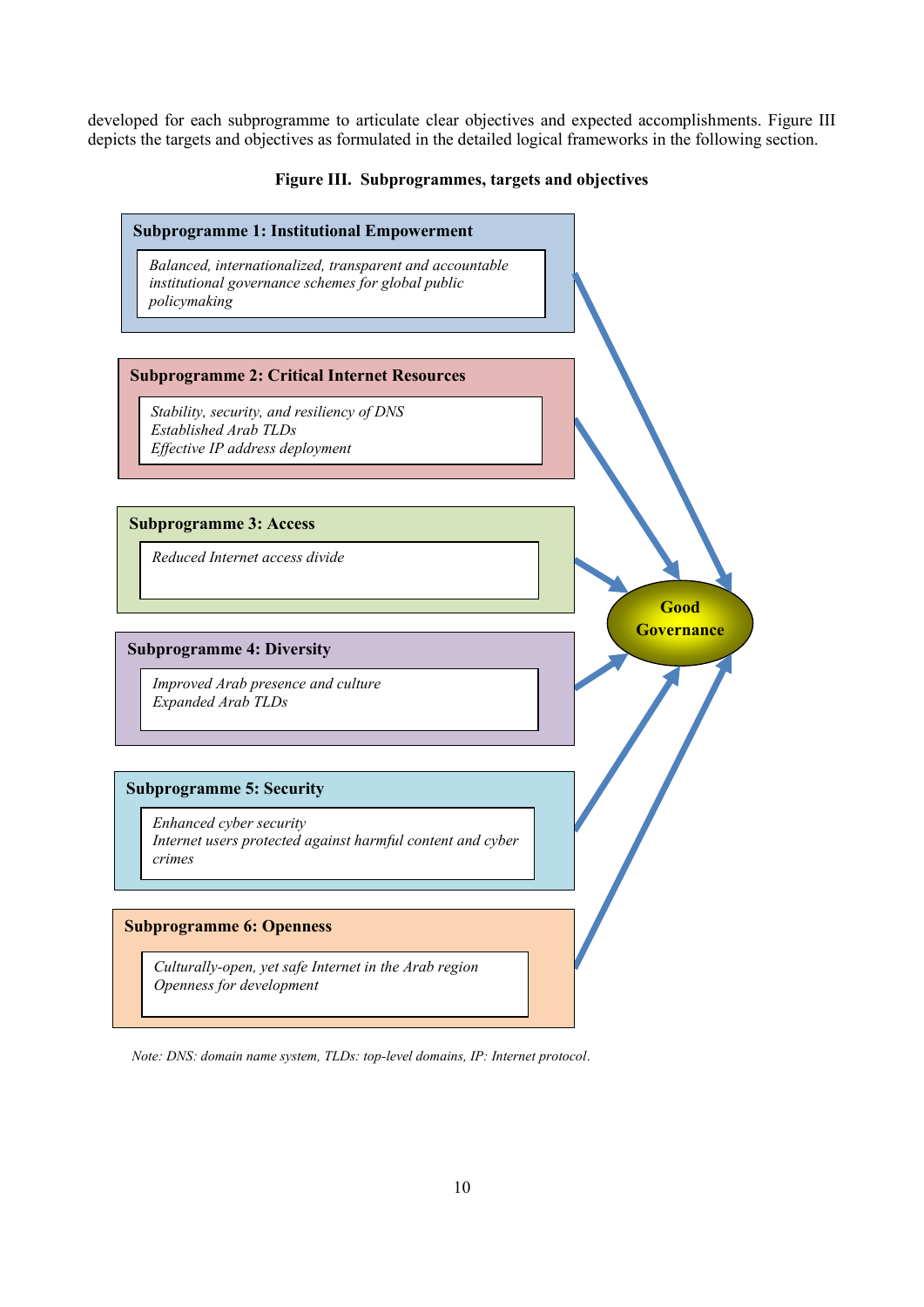developed for each subprogramme to articulate clear objectives and expected accomplishments. [Figure I](#page-12-0)II depicts the targets and objectives as formulated in the detailed logical frameworks in the following section.

# **Figure III. Subprogrammes, targets and objectives**

<span id="page-12-0"></span>

*Note: DNS: domain name system, TLDs: top-level domains, IP: Internet protocol*.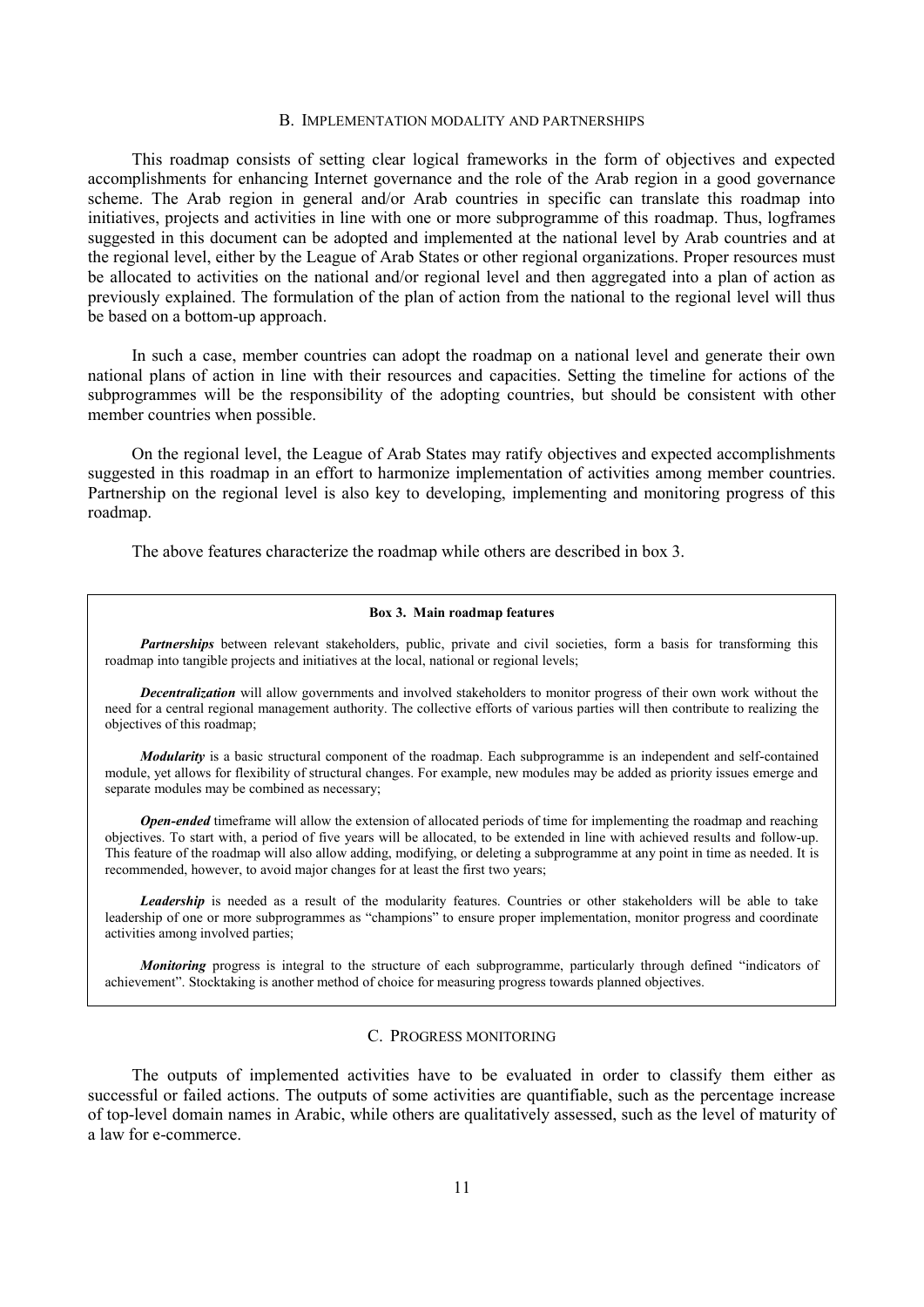## B. IMPLEMENTATION MODALITY AND PARTNERSHIPS

This roadmap consists of setting clear logical frameworks in the form of objectives and expected accomplishments for enhancing Internet governance and the role of the Arab region in a good governance scheme. The Arab region in general and/or Arab countries in specific can translate this roadmap into initiatives, projects and activities in line with one or more subprogramme of this roadmap. Thus, logframes suggested in this document can be adopted and implemented at the national level by Arab countries and at the regional level, either by the League of Arab States or other regional organizations. Proper resources must be allocated to activities on the national and/or regional level and then aggregated into a plan of action as previously explained. The formulation of the plan of action from the national to the regional level will thus be based on a bottom-up approach.

In such a case, member countries can adopt the roadmap on a national level and generate their own national plans of action in line with their resources and capacities. Setting the timeline for actions of the subprogrammes will be the responsibility of the adopting countries, but should be consistent with other member countries when possible.

On the regional level, the League of Arab States may ratify objectives and expected accomplishments suggested in this roadmap in an effort to harmonize implementation of activities among member countries. Partnership on the regional level is also key to developing, implementing and monitoring progress of this roadmap.

The above features characterize the roadmap while others are described in box 3.

#### **Box 3. Main roadmap features**

*Partnerships* between relevant stakeholders, public, private and civil societies, form a basis for transforming this roadmap into tangible projects and initiatives at the local, national or regional levels;

*Decentralization* will allow governments and involved stakeholders to monitor progress of their own work without the need for a central regional management authority. The collective efforts of various parties will then contribute to realizing the objectives of this roadmap;

*Modularity* is a basic structural component of the roadmap. Each subprogramme is an independent and self-contained module, yet allows for flexibility of structural changes. For example, new modules may be added as priority issues emerge and separate modules may be combined as necessary;

*Open-ended* timeframe will allow the extension of allocated periods of time for implementing the roadmap and reaching objectives. To start with, a period of five years will be allocated, to be extended in line with achieved results and follow-up. This feature of the roadmap will also allow adding, modifying, or deleting a subprogramme at any point in time as needed. It is recommended, however, to avoid major changes for at least the first two years;

*Leadership* is needed as a result of the modularity features. Countries or other stakeholders will be able to take leadership of one or more subprogrammes as "champions" to ensure proper implementation, monitor progress and coordinate activities among involved parties;

*Monitoring* progress is integral to the structure of each subprogramme, particularly through defined "indicators of achievement". Stocktaking is another method of choice for measuring progress towards planned objectives.

#### C. PROGRESS MONITORING

The outputs of implemented activities have to be evaluated in order to classify them either as successful or failed actions. The outputs of some activities are quantifiable, such as the percentage increase of top-level domain names in Arabic, while others are qualitatively assessed, such as the level of maturity of a law for e-commerce.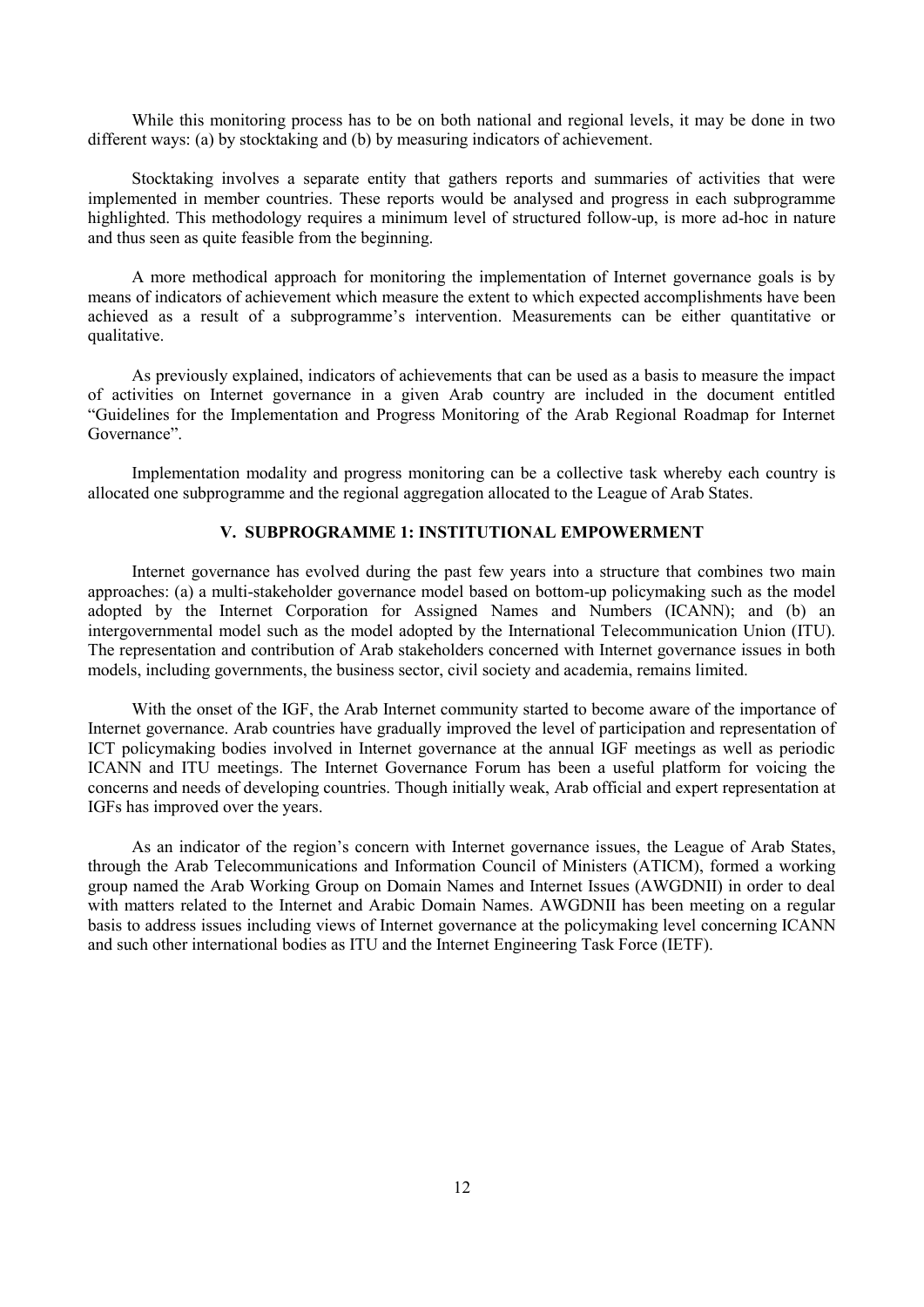While this monitoring process has to be on both national and regional levels, it may be done in two different ways: (a) by stocktaking and (b) by measuring indicators of achievement.

Stocktaking involves a separate entity that gathers reports and summaries of activities that were implemented in member countries. These reports would be analysed and progress in each subprogramme highlighted. This methodology requires a minimum level of structured follow-up, is more ad-hoc in nature and thus seen as quite feasible from the beginning.

A more methodical approach for monitoring the implementation of Internet governance goals is by means of indicators of achievement which measure the extent to which expected accomplishments have been achieved as a result of a subprogramme"s intervention. Measurements can be either quantitative or qualitative.

As previously explained, indicators of achievements that can be used as a basis to measure the impact of activities on Internet governance in a given Arab country are included in the document entitled "Guidelines for the Implementation and Progress Monitoring of the Arab Regional Roadmap for Internet Governance".

Implementation modality and progress monitoring can be a collective task whereby each country is allocated one subprogramme and the regional aggregation allocated to the League of Arab States.

### **V. SUBPROGRAMME 1: INSTITUTIONAL EMPOWERMENT**

Internet governance has evolved during the past few years into a structure that combines two main approaches: (a) a multi-stakeholder governance model based on bottom-up policymaking such as the model adopted by the Internet Corporation for Assigned Names and Numbers (ICANN); and (b) an intergovernmental model such as the model adopted by the International Telecommunication Union (ITU). The representation and contribution of Arab stakeholders concerned with Internet governance issues in both models, including governments, the business sector, civil society and academia, remains limited.

With the onset of the IGF, the Arab Internet community started to become aware of the importance of Internet governance. Arab countries have gradually improved the level of participation and representation of ICT policymaking bodies involved in Internet governance at the annual IGF meetings as well as periodic ICANN and ITU meetings. The Internet Governance Forum has been a useful platform for voicing the concerns and needs of developing countries. Though initially weak, Arab official and expert representation at IGFs has improved over the years.

As an indicator of the region's concern with Internet governance issues, the League of Arab States, through the Arab Telecommunications and Information Council of Ministers (ATICM), formed a working group named the Arab Working Group on Domain Names and Internet Issues (AWGDNII) in order to deal with matters related to the Internet and Arabic Domain Names. AWGDNII has been meeting on a regular basis to address issues including views of Internet governance at the policymaking level concerning ICANN and such other international bodies as ITU and the Internet Engineering Task Force (IETF).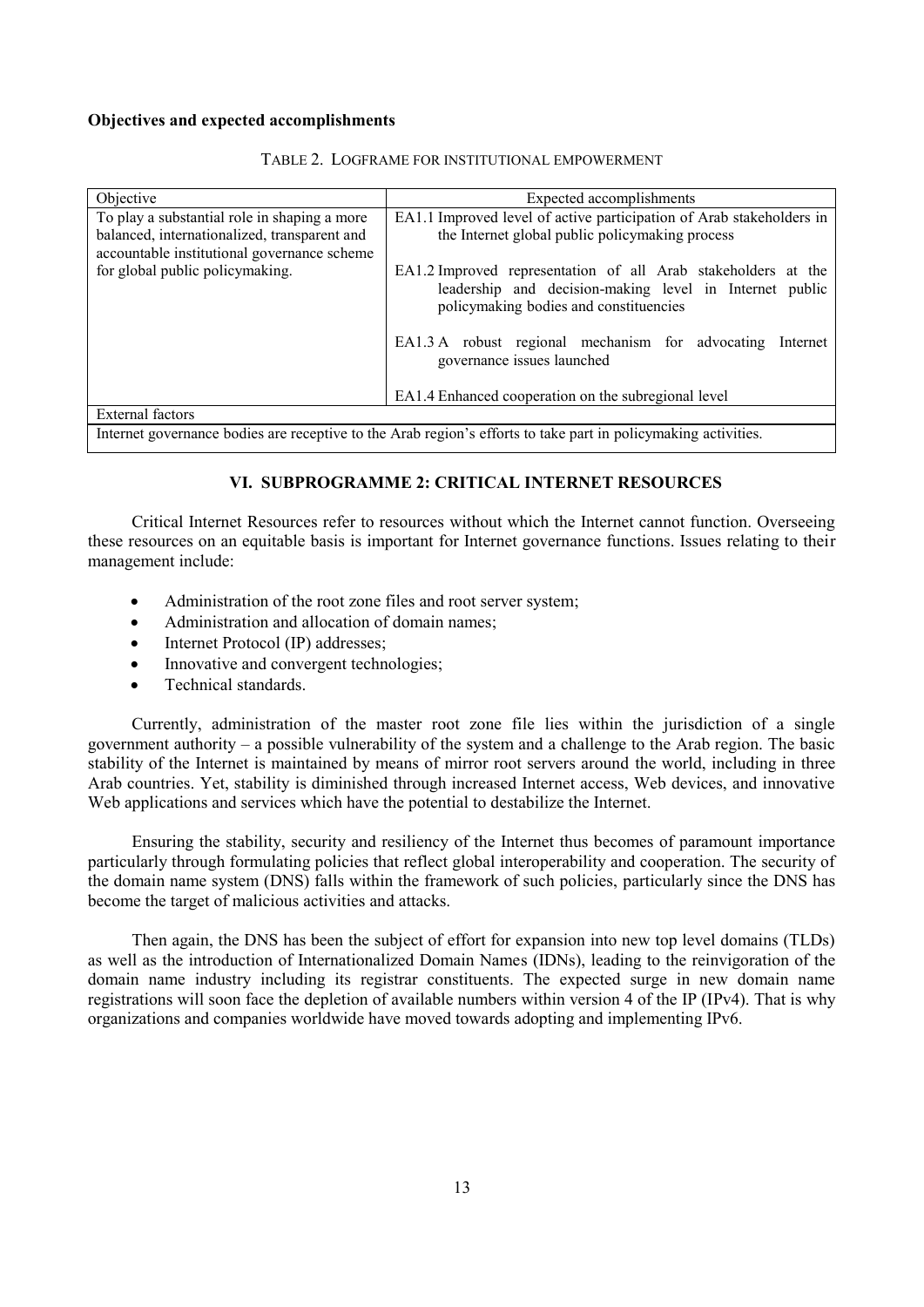| Objective                                                                                   | Expected accomplishments                                                                                                                                           |
|---------------------------------------------------------------------------------------------|--------------------------------------------------------------------------------------------------------------------------------------------------------------------|
| To play a substantial role in shaping a more                                                | EA1.1 Improved level of active participation of Arab stakeholders in                                                                                               |
| balanced, internationalized, transparent and<br>accountable institutional governance scheme | the Internet global public policymaking process                                                                                                                    |
| for global public policymaking.                                                             | EA1.2 Improved representation of all Arab stakeholders at the<br>leadership and decision-making level in Internet public<br>policymaking bodies and constituencies |
|                                                                                             | EA1.3 A robust regional mechanism for advocating<br>Internet<br>governance issues launched                                                                         |
|                                                                                             | EA1.4 Enhanced cooperation on the subregional level                                                                                                                |
| External factors                                                                            |                                                                                                                                                                    |
|                                                                                             | Internet governance bodies are receptive to the Arab region's efforts to take part in policymaking activities.                                                     |

### TABLE 2. LOGFRAME FOR INSTITUTIONAL EMPOWERMENT

# **VI. SUBPROGRAMME 2: CRITICAL INTERNET RESOURCES**

Critical Internet Resources refer to resources without which the Internet cannot function. Overseeing these resources on an equitable basis is important for Internet governance functions. Issues relating to their management include:

- Administration of the root zone files and root server system;
- Administration and allocation of domain names;
- Internet Protocol (IP) addresses;
- Innovative and convergent technologies;
- Technical standards.

Currently, administration of the master root zone file lies within the jurisdiction of a single government authority – a possible vulnerability of the system and a challenge to the Arab region. The basic stability of the Internet is maintained by means of mirror root servers around the world, including in three Arab countries. Yet, stability is diminished through increased Internet access, Web devices, and innovative Web applications and services which have the potential to destabilize the Internet.

Ensuring the stability, security and resiliency of the Internet thus becomes of paramount importance particularly through formulating policies that reflect global interoperability and cooperation. The security of the domain name system (DNS) falls within the framework of such policies, particularly since the DNS has become the target of malicious activities and attacks.

Then again, the DNS has been the subject of effort for expansion into new top level domains (TLDs) as well as the introduction of Internationalized Domain Names (IDNs), leading to the reinvigoration of the domain name industry including its registrar constituents. The expected surge in new domain name registrations will soon face the depletion of available numbers within version 4 of the IP (IPv4). That is why organizations and companies worldwide have moved towards adopting and implementing IPv6.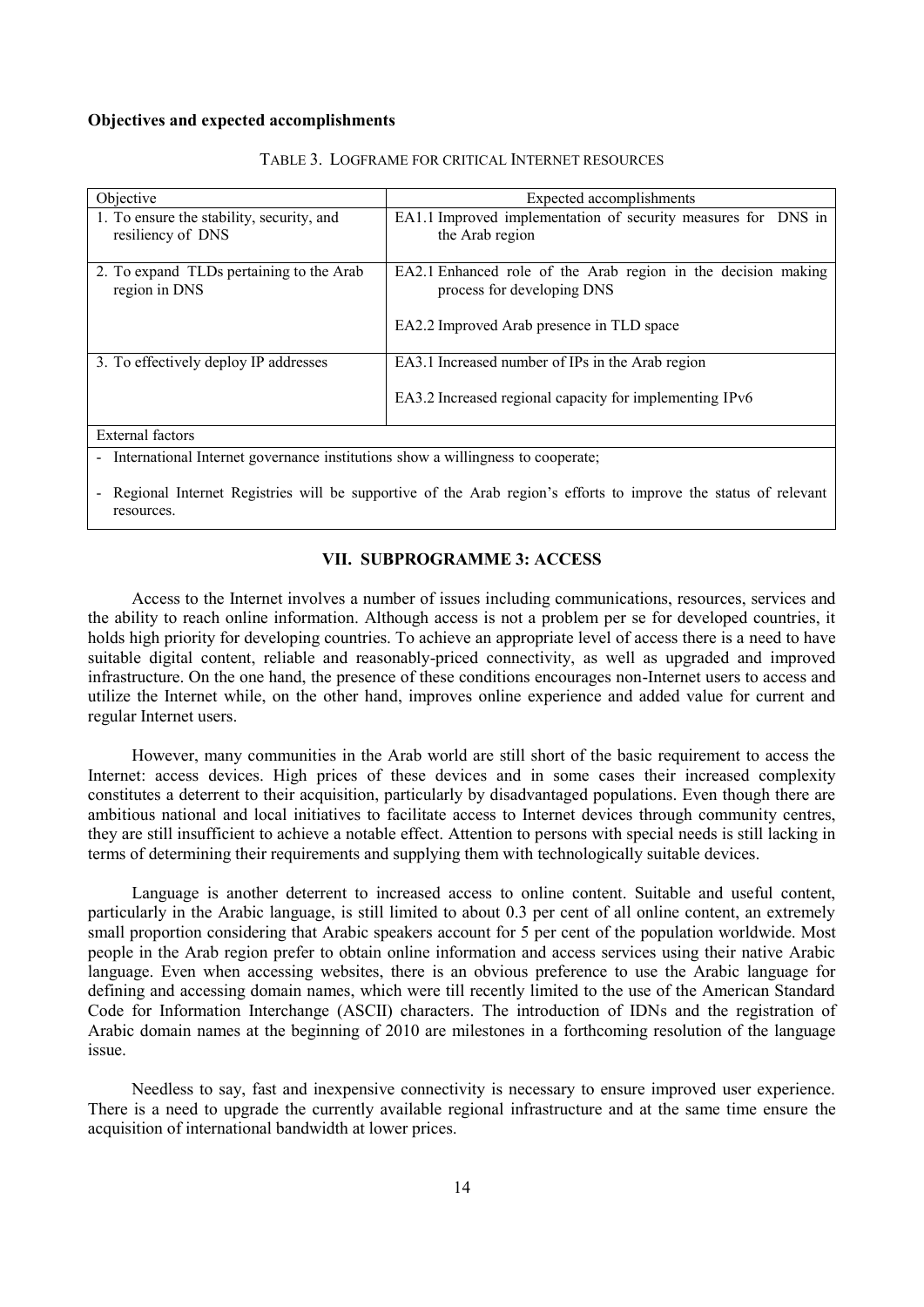| Objective                                                                                         | Expected accomplishments                                                                                                                 |
|---------------------------------------------------------------------------------------------------|------------------------------------------------------------------------------------------------------------------------------------------|
| 1. To ensure the stability, security, and<br>resiliency of DNS                                    | EA1.1 Improved implementation of security measures for DNS in<br>the Arab region                                                         |
| 2. To expand TLDs pertaining to the Arab<br>region in DNS                                         | EA2.1 Enhanced role of the Arab region in the decision making<br>process for developing DNS<br>EA2.2 Improved Arab presence in TLD space |
| 3. To effectively deploy IP addresses                                                             | EA3.1 Increased number of IPs in the Arab region<br>EA3.2 Increased regional capacity for implementing IPv6                              |
| External factors                                                                                  |                                                                                                                                          |
| International Internet governance institutions show a willingness to cooperate;<br>$\blacksquare$ |                                                                                                                                          |

#### TABLE 3. LOGFRAME FOR CRITICAL INTERNET RESOURCES

Regional Internet Registries will be supportive of the Arab region's efforts to improve the status of relevant resources.

# **VII. SUBPROGRAMME 3: ACCESS**

Access to the Internet involves a number of issues including communications, resources, services and the ability to reach online information. Although access is not a problem per se for developed countries, it holds high priority for developing countries. To achieve an appropriate level of access there is a need to have suitable digital content, reliable and reasonably-priced connectivity, as well as upgraded and improved infrastructure. On the one hand, the presence of these conditions encourages non-Internet users to access and utilize the Internet while, on the other hand, improves online experience and added value for current and regular Internet users.

However, many communities in the Arab world are still short of the basic requirement to access the Internet: access devices. High prices of these devices and in some cases their increased complexity constitutes a deterrent to their acquisition, particularly by disadvantaged populations. Even though there are ambitious national and local initiatives to facilitate access to Internet devices through community centres, they are still insufficient to achieve a notable effect. Attention to persons with special needs is still lacking in terms of determining their requirements and supplying them with technologically suitable devices.

Language is another deterrent to increased access to online content. Suitable and useful content, particularly in the Arabic language, is still limited to about 0.3 per cent of all online content, an extremely small proportion considering that Arabic speakers account for 5 per cent of the population worldwide. Most people in the Arab region prefer to obtain online information and access services using their native Arabic language. Even when accessing websites, there is an obvious preference to use the Arabic language for defining and accessing domain names, which were till recently limited to the use of the American Standard Code for Information Interchange (ASCII) characters. The introduction of IDNs and the registration of Arabic domain names at the beginning of 2010 are milestones in a forthcoming resolution of the language issue.

Needless to say, fast and inexpensive connectivity is necessary to ensure improved user experience. There is a need to upgrade the currently available regional infrastructure and at the same time ensure the acquisition of international bandwidth at lower prices.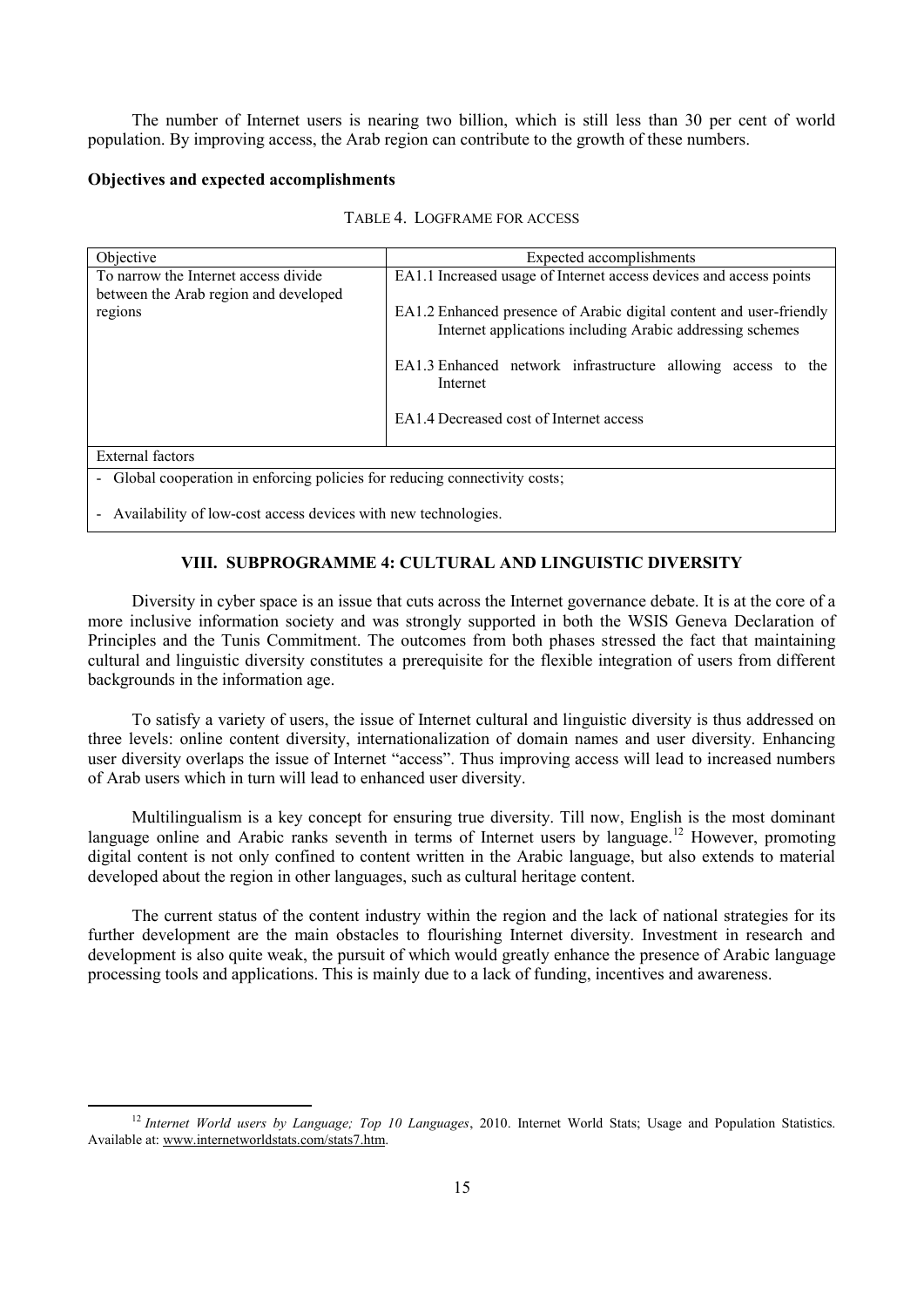The number of Internet users is nearing two billion, which is still less than 30 per cent of world population. By improving access, the Arab region can contribute to the growth of these numbers.

# **Objectives and expected accomplishments**

| Objective                                                                     | Expected accomplishments                                                                                                         |
|-------------------------------------------------------------------------------|----------------------------------------------------------------------------------------------------------------------------------|
| To narrow the Internet access divide<br>between the Arab region and developed | EA1.1 Increased usage of Internet access devices and access points                                                               |
| regions                                                                       | EA1.2 Enhanced presence of Arabic digital content and user-friendly<br>Internet applications including Arabic addressing schemes |
|                                                                               | EA1.3 Enhanced network infrastructure allowing access to the<br>Internet                                                         |
|                                                                               | EA1.4 Decreased cost of Internet access                                                                                          |
| External factors                                                              |                                                                                                                                  |
| - Global cooperation in enforcing policies for reducing connectivity costs;   |                                                                                                                                  |

- Availability of low-cost access devices with new technologies.

**.** 

# **VIII. SUBPROGRAMME 4: CULTURAL AND LINGUISTIC DIVERSITY**

Diversity in cyber space is an issue that cuts across the Internet governance debate. It is at the core of a more inclusive information society and was strongly supported in both the WSIS Geneva Declaration of Principles and the Tunis Commitment. The outcomes from both phases stressed the fact that maintaining cultural and linguistic diversity constitutes a prerequisite for the flexible integration of users from different backgrounds in the information age.

To satisfy a variety of users, the issue of Internet cultural and linguistic diversity is thus addressed on three levels: online content diversity, internationalization of domain names and user diversity. Enhancing user diversity overlaps the issue of Internet "access". Thus improving access will lead to increased numbers of Arab users which in turn will lead to enhanced user diversity.

Multilingualism is a key concept for ensuring true diversity. Till now, English is the most dominant language online and Arabic ranks seventh in terms of Internet users by language.<sup>12</sup> However, promoting digital content is not only confined to content written in the Arabic language, but also extends to material developed about the region in other languages, such as cultural heritage content.

The current status of the content industry within the region and the lack of national strategies for its further development are the main obstacles to flourishing Internet diversity. Investment in research and development is also quite weak, the pursuit of which would greatly enhance the presence of Arabic language processing tools and applications. This is mainly due to a lack of funding, incentives and awareness.

<sup>&</sup>lt;sup>12</sup> *Internet World users by Language; Top 10 Languages*, 2010. Internet World Stats; Usage and Population Statistics. Available at: www.internetworldstats.com/stats7.htm.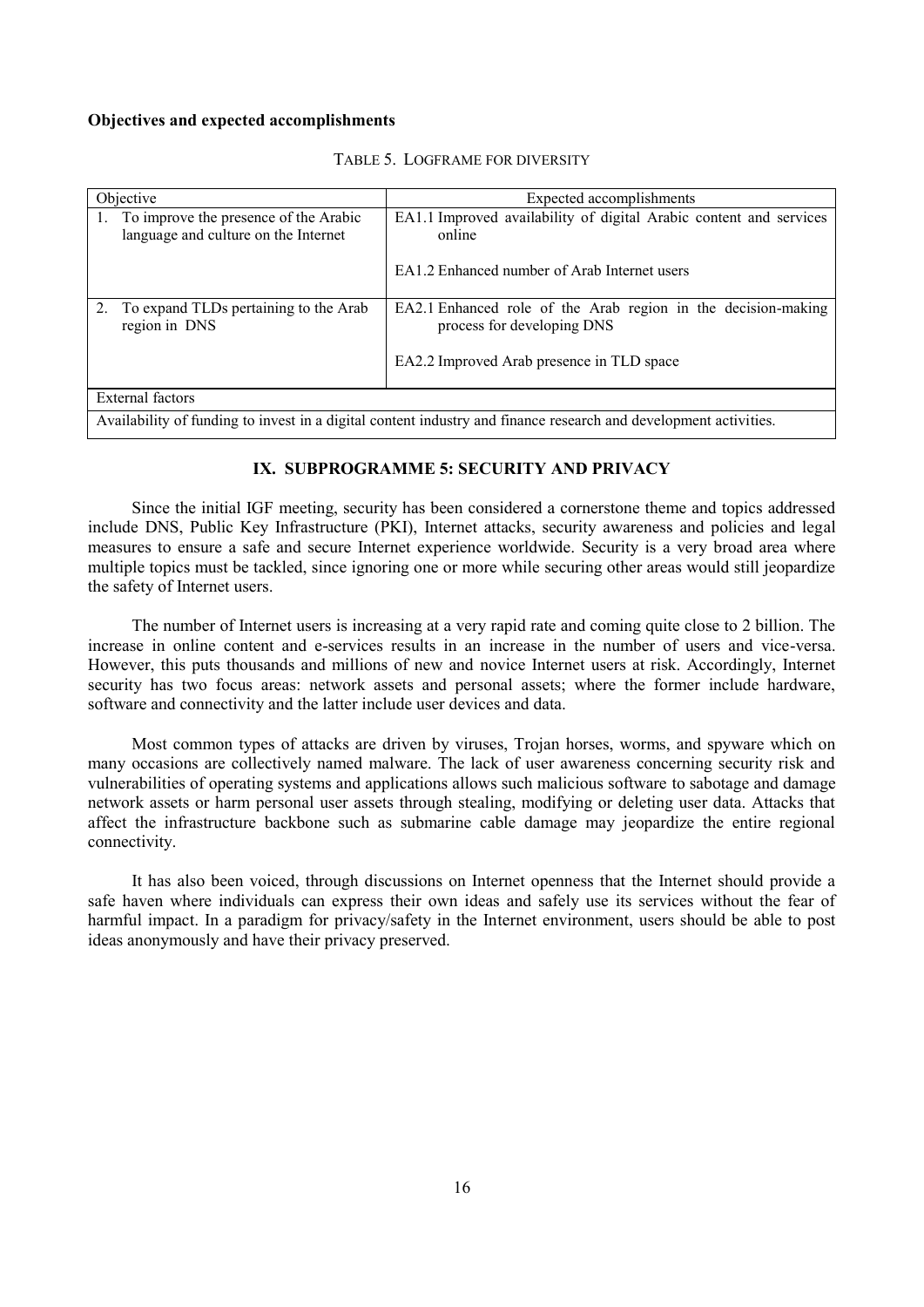| Objective                                                                        | Expected accomplishments                                                                                         |
|----------------------------------------------------------------------------------|------------------------------------------------------------------------------------------------------------------|
| 1. To improve the presence of the Arabic<br>language and culture on the Internet | EA1.1 Improved availability of digital Arabic content and services<br>online                                     |
|                                                                                  | EA1.2 Enhanced number of Arab Internet users                                                                     |
| 2. To expand TLDs pertaining to the Arab<br>region in DNS                        | EA2.1 Enhanced role of the Arab region in the decision-making<br>process for developing DNS                      |
|                                                                                  | EA2.2 Improved Arab presence in TLD space                                                                        |
| External factors                                                                 |                                                                                                                  |
|                                                                                  | Availability of funding to invest in a digital content industry and finance research and development activities. |

#### TABLE 5. LOGFRAME FOR DIVERSITY

# **IX. SUBPROGRAMME 5: SECURITY AND PRIVACY**

Since the initial IGF meeting, security has been considered a cornerstone theme and topics addressed include DNS, Public Key Infrastructure (PKI), Internet attacks, security awareness and policies and legal measures to ensure a safe and secure Internet experience worldwide. Security is a very broad area where multiple topics must be tackled, since ignoring one or more while securing other areas would still jeopardize the safety of Internet users.

The number of Internet users is increasing at a very rapid rate and coming quite close to 2 billion. The increase in online content and e-services results in an increase in the number of users and vice-versa. However, this puts thousands and millions of new and novice Internet users at risk. Accordingly, Internet security has two focus areas: network assets and personal assets; where the former include hardware, software and connectivity and the latter include user devices and data.

Most common types of attacks are driven by viruses, Trojan horses, worms, and spyware which on many occasions are collectively named malware. The lack of user awareness concerning security risk and vulnerabilities of operating systems and applications allows such malicious software to sabotage and damage network assets or harm personal user assets through stealing, modifying or deleting user data. Attacks that affect the infrastructure backbone such as submarine cable damage may jeopardize the entire regional connectivity.

It has also been voiced, through discussions on Internet openness that the Internet should provide a safe haven where individuals can express their own ideas and safely use its services without the fear of harmful impact. In a paradigm for privacy/safety in the Internet environment, users should be able to post ideas anonymously and have their privacy preserved.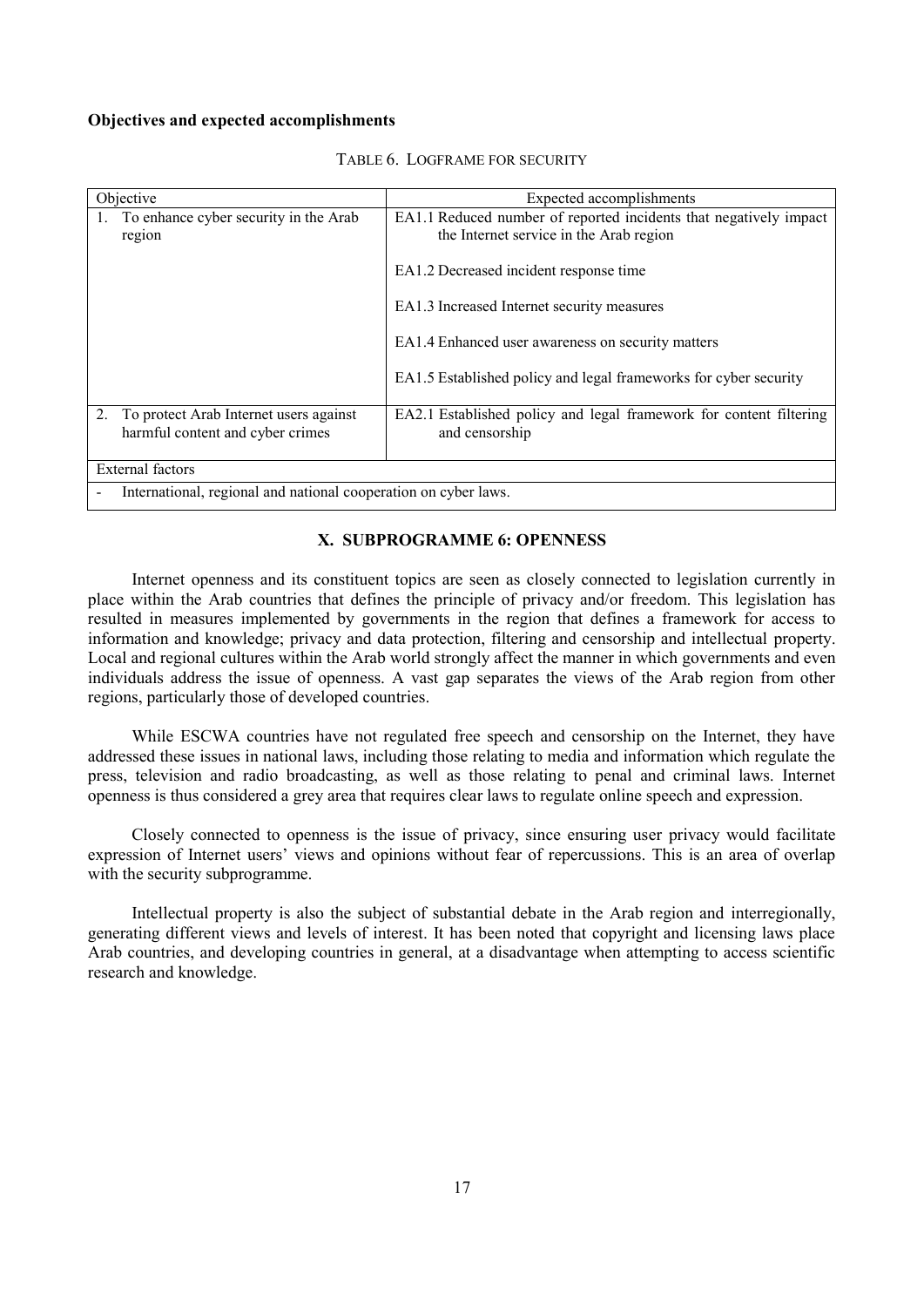| Objective                                                       | Expected accomplishments                                           |
|-----------------------------------------------------------------|--------------------------------------------------------------------|
| To enhance cyber security in the Arab                           | EA1.1 Reduced number of reported incidents that negatively impact  |
| region                                                          | the Internet service in the Arab region                            |
|                                                                 | EA1.2 Decreased incident response time                             |
|                                                                 | EA1.3 Increased Internet security measures                         |
|                                                                 | EA1.4 Enhanced user awareness on security matters                  |
|                                                                 | EA1.5 Established policy and legal frameworks for cyber security   |
|                                                                 |                                                                    |
| 2.<br>To protect Arab Internet users against                    | EA2.1 Established policy and legal framework for content filtering |
| harmful content and cyber crimes                                | and censorship                                                     |
| <b>External factors</b>                                         |                                                                    |
| International, regional and national cooperation on cyber laws. |                                                                    |
|                                                                 |                                                                    |

# TABLE 6. LOGFRAME FOR SECURITY

# **X. SUBPROGRAMME 6: OPENNESS**

Internet openness and its constituent topics are seen as closely connected to legislation currently in place within the Arab countries that defines the principle of privacy and/or freedom. This legislation has resulted in measures implemented by governments in the region that defines a framework for access to information and knowledge; privacy and data protection, filtering and censorship and intellectual property. Local and regional cultures within the Arab world strongly affect the manner in which governments and even individuals address the issue of openness. A vast gap separates the views of the Arab region from other regions, particularly those of developed countries.

While ESCWA countries have not regulated free speech and censorship on the Internet, they have addressed these issues in national laws, including those relating to media and information which regulate the press, television and radio broadcasting, as well as those relating to penal and criminal laws. Internet openness is thus considered a grey area that requires clear laws to regulate online speech and expression.

Closely connected to openness is the issue of privacy, since ensuring user privacy would facilitate expression of Internet users' views and opinions without fear of repercussions. This is an area of overlap with the security subprogramme.

Intellectual property is also the subject of substantial debate in the Arab region and interregionally, generating different views and levels of interest. It has been noted that copyright and licensing laws place Arab countries, and developing countries in general, at a disadvantage when attempting to access scientific research and knowledge.